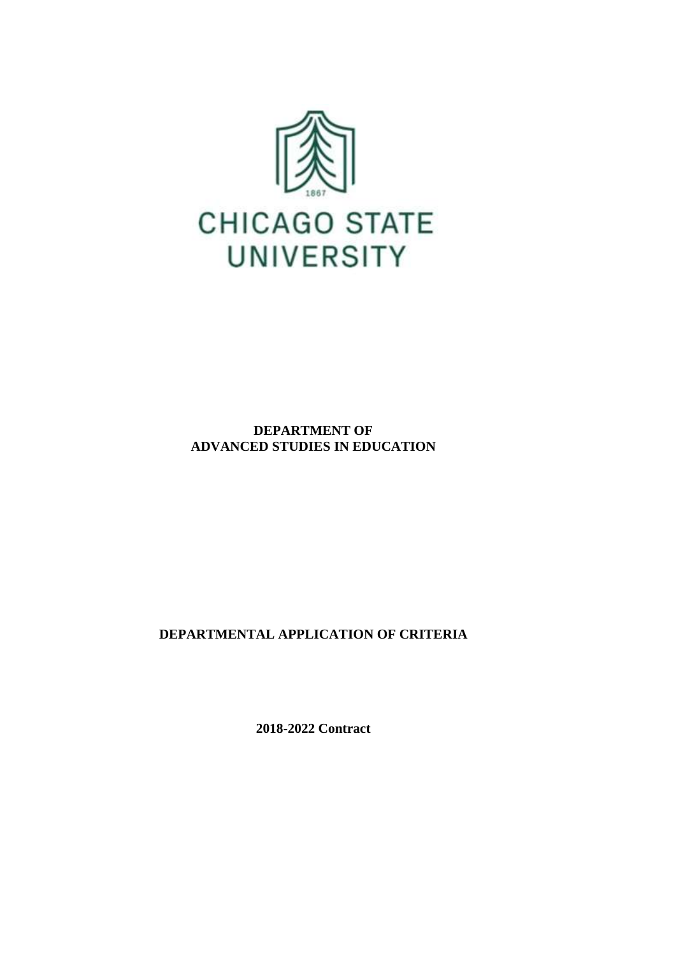

**DEPARTMENT OF ADVANCED STUDIES IN EDUCATION**

**DEPARTMENTAL APPLICATION OF CRITERIA**

**2018-2022 Contract**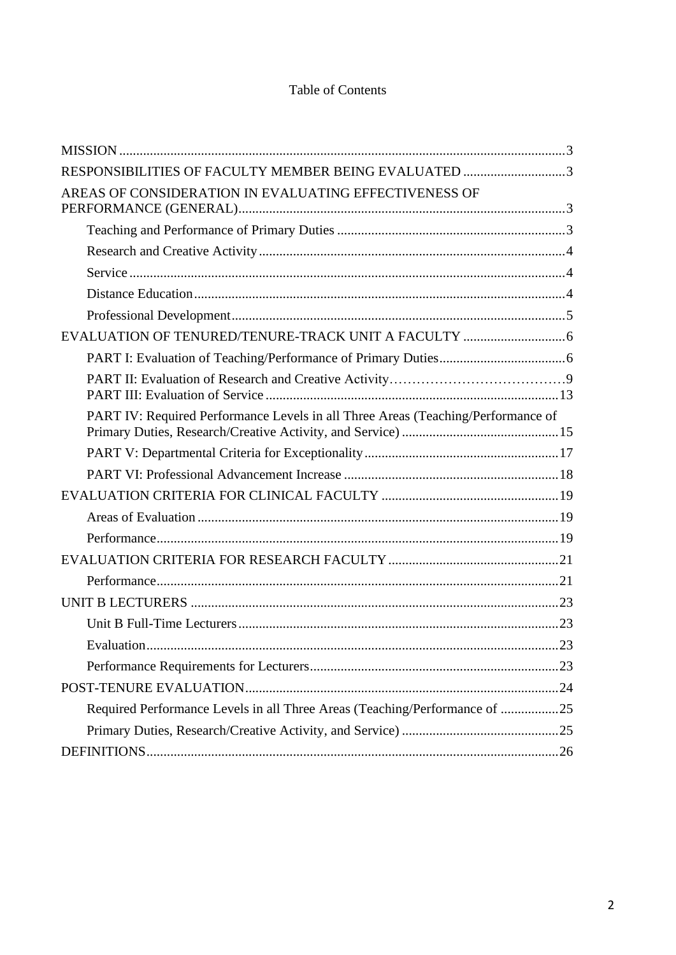## Table of Contents

| RESPONSIBILITIES OF FACULTY MEMBER BEING EVALUATED 3                             |  |
|----------------------------------------------------------------------------------|--|
| AREAS OF CONSIDERATION IN EVALUATING EFFECTIVENESS OF                            |  |
|                                                                                  |  |
|                                                                                  |  |
|                                                                                  |  |
|                                                                                  |  |
|                                                                                  |  |
|                                                                                  |  |
|                                                                                  |  |
|                                                                                  |  |
| PART IV: Required Performance Levels in all Three Areas (Teaching/Performance of |  |
|                                                                                  |  |
|                                                                                  |  |
|                                                                                  |  |
|                                                                                  |  |
|                                                                                  |  |
|                                                                                  |  |
|                                                                                  |  |
|                                                                                  |  |
|                                                                                  |  |
|                                                                                  |  |
|                                                                                  |  |
|                                                                                  |  |
| Required Performance Levels in all Three Areas (Teaching/Performance of 25       |  |
|                                                                                  |  |
|                                                                                  |  |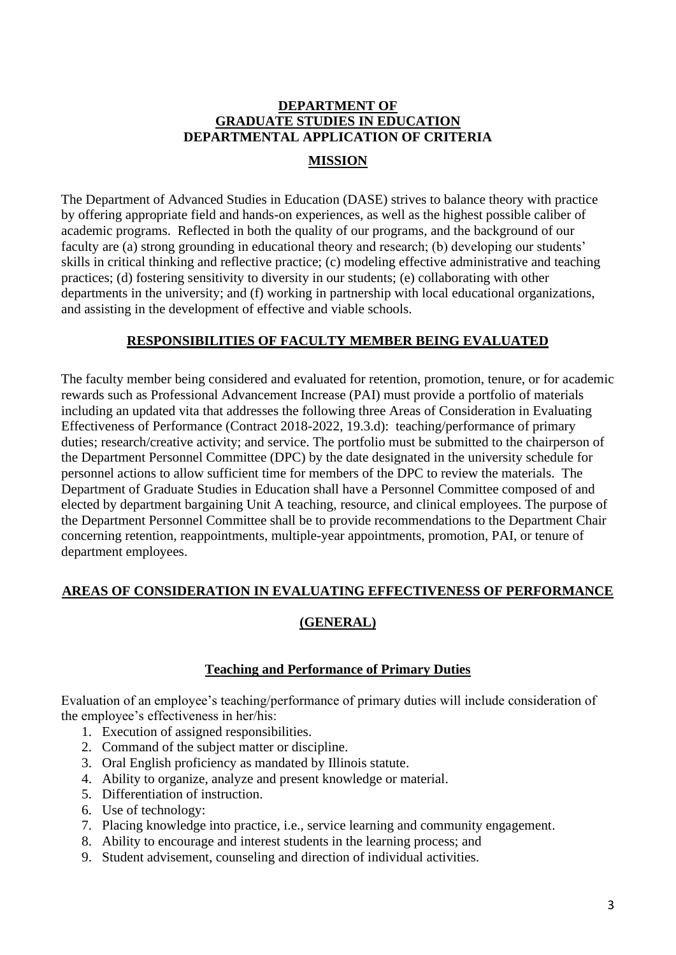# **DEPARTMENT OF GRADUATE STUDIES IN EDUCATION DEPARTMENTAL APPLICATION OF CRITERIA**

## **MISSION**

<span id="page-2-0"></span>The Department of Advanced Studies in Education (DASE) strives to balance theory with practice by offering appropriate field and hands-on experiences, as well as the highest possible caliber of academic programs. Reflected in both the quality of our programs, and the background of our faculty are (a) strong grounding in educational theory and research; (b) developing our students' skills in critical thinking and reflective practice; (c) modeling effective administrative and teaching practices; (d) fostering sensitivity to diversity in our students; (e) collaborating with other departments in the university; and (f) working in partnership with local educational organizations, and assisting in the development of effective and viable schools.

## **RESPONSIBILITIES OF FACULTY MEMBER BEING EVALUATED**

<span id="page-2-1"></span>The faculty member being considered and evaluated for retention, promotion, tenure, or for academic rewards such as Professional Advancement Increase (PAI) must provide a portfolio of materials including an updated vita that addresses the following three Areas of Consideration in Evaluating Effectiveness of Performance (Contract 2018-2022, 19.3.d): teaching/performance of primary duties; research/creative activity; and service. The portfolio must be submitted to the chairperson of the Department Personnel Committee (DPC) by the date designated in the university schedule for personnel actions to allow sufficient time for members of the DPC to review the materials. The Department of Graduate Studies in Education shall have a Personnel Committee composed of and elected by department bargaining Unit A teaching, resource, and clinical employees. The purpose of the Department Personnel Committee shall be to provide recommendations to the Department Chair concerning retention, reappointments, multiple-year appointments, promotion, PAI, or tenure of department employees.

## <span id="page-2-2"></span>**AREAS OF CONSIDERATION IN EVALUATING EFFECTIVENESS OF PERFORMANCE**

## **(GENERAL)**

## **Teaching and Performance of Primary Duties**

<span id="page-2-3"></span>Evaluation of an employee's teaching/performance of primary duties will include consideration of the employee's effectiveness in her/his:

- 1. Execution of assigned responsibilities.
- 2. Command of the subject matter or discipline.
- 3. Oral English proficiency as mandated by Illinois statute.
- 4. Ability to organize, analyze and present knowledge or material.
- 5. Differentiation of instruction.
- 6. Use of technology:
- 7. Placing knowledge into practice, i.e., service learning and community engagement.
- 8. Ability to encourage and interest students in the learning process; and
- 9. Student advisement, counseling and direction of individual activities.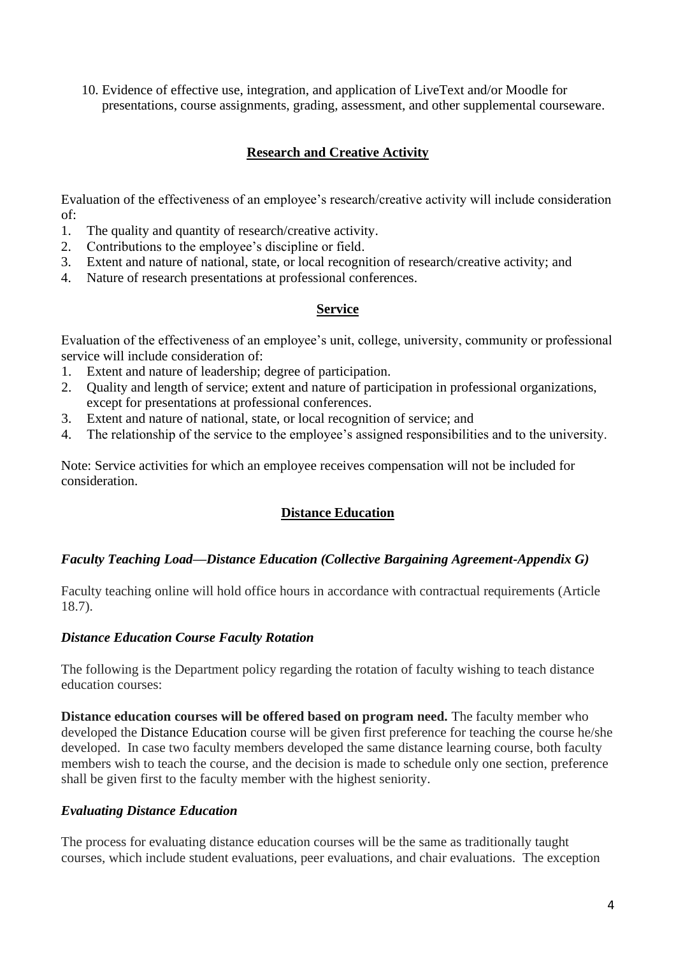10. Evidence of effective use, integration, and application of LiveText and/or Moodle for presentations, course assignments, grading, assessment, and other supplemental courseware.

## **Research and Creative Activity**

<span id="page-3-0"></span>Evaluation of the effectiveness of an employee's research/creative activity will include consideration of:

- 1. The quality and quantity of research/creative activity.
- 2. Contributions to the employee's discipline or field.
- 3. Extent and nature of national, state, or local recognition of research/creative activity; and
- <span id="page-3-1"></span>4. Nature of research presentations at professional conferences.

#### **Service**

Evaluation of the effectiveness of an employee's unit, college, university, community or professional service will include consideration of:

- 1. Extent and nature of leadership; degree of participation.
- 2. Quality and length of service; extent and nature of participation in professional organizations, except for presentations at professional conferences.
- 3. Extent and nature of national, state, or local recognition of service; and
- 4. The relationship of the service to the employee's assigned responsibilities and to the university.

<span id="page-3-2"></span>Note: Service activities for which an employee receives compensation will not be included for consideration.

## **Distance Education**

### *Faculty Teaching Load—Distance Education (Collective Bargaining Agreement-Appendix G)*

Faculty teaching online will hold office hours in accordance with contractual requirements (Article 18.7).

### *Distance Education Course Faculty Rotation*

The following is the Department policy regarding the rotation of faculty wishing to teach distance education courses:

**Distance education courses will be offered based on program need.** The faculty member who developed the Distance Education course will be given first preference for teaching the course he/she developed. In case two faculty members developed the same distance learning course, both faculty members wish to teach the course, and the decision is made to schedule only one section, preference shall be given first to the faculty member with the highest seniority.

### *Evaluating Distance Education*

The process for evaluating distance education courses will be the same as traditionally taught courses, which include student evaluations, peer evaluations, and chair evaluations. The exception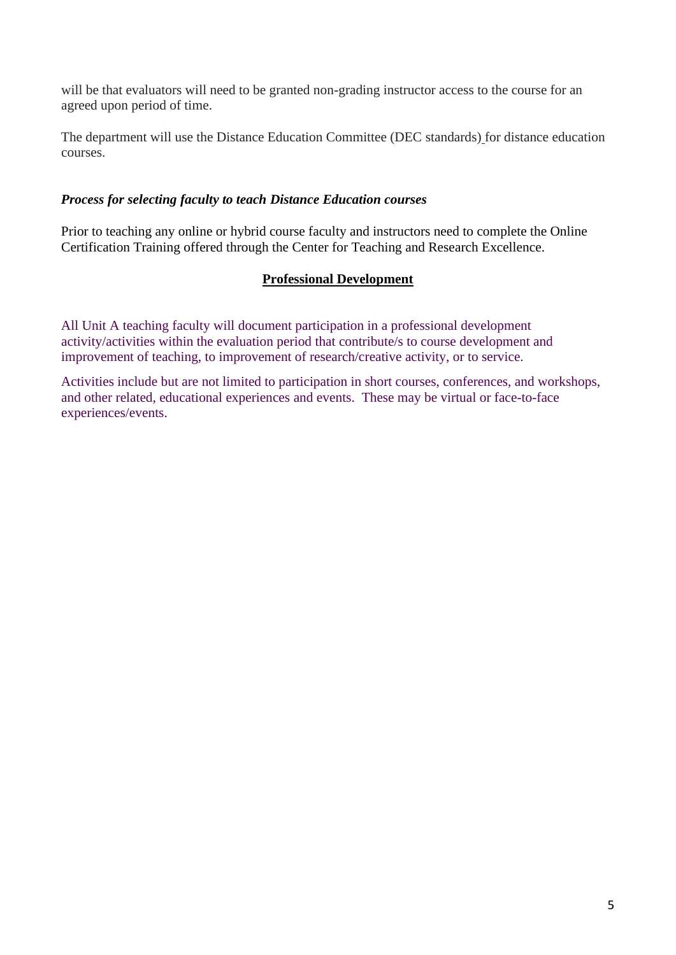will be that evaluators will need to be granted non-grading instructor access to the course for an agreed upon period of time.

The department will use the Distance Education Committee (DEC standards) for distance education courses.

### *Process for selecting faculty to teach Distance Education courses*

<span id="page-4-0"></span>Prior to teaching any online or hybrid course faculty and instructors need to complete the Online Certification Training offered through the Center for Teaching and Research Excellence.

## **Professional Development**

All Unit A teaching faculty will document participation in a professional development activity/activities within the evaluation period that contribute/s to course development and improvement of teaching, to improvement of research/creative activity, or to service.

Activities include but are not limited to participation in short courses, conferences, and workshops, and other related, educational experiences and events. These may be virtual or face-to-face experiences/events.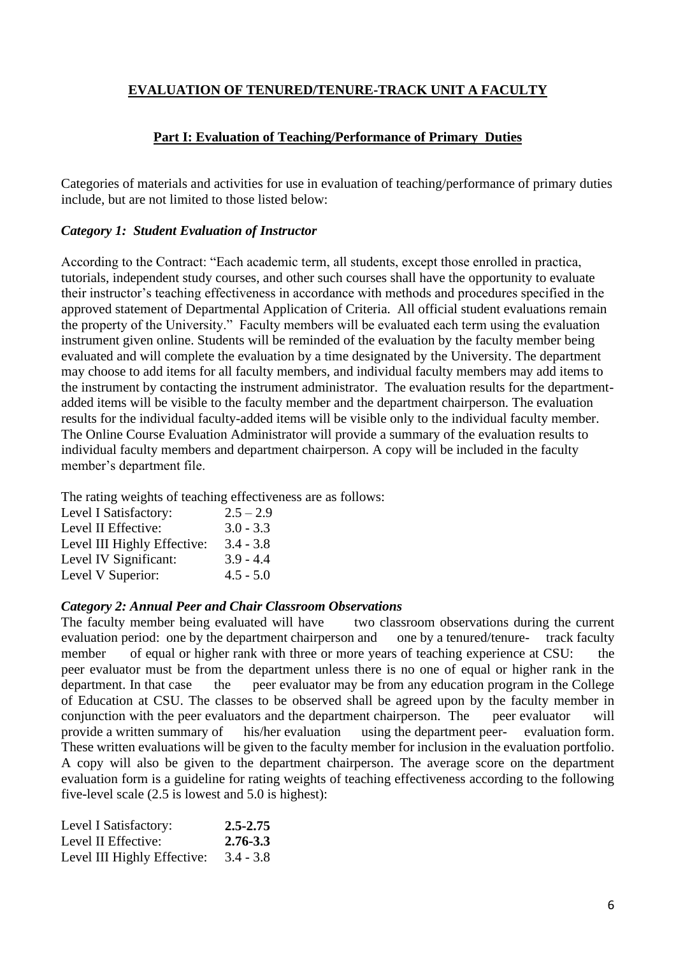## <span id="page-5-0"></span>**EVALUATION OF TENURED/TENURE-TRACK UNIT A FACULTY**

## **Part I: Evaluation of Teaching/Performance of Primary Duties**

<span id="page-5-1"></span>Categories of materials and activities for use in evaluation of teaching/performance of primary duties include, but are not limited to those listed below:

### *Category 1: Student Evaluation of Instructor*

According to the Contract: "Each academic term, all students, except those enrolled in practica, tutorials, independent study courses, and other such courses shall have the opportunity to evaluate their instructor's teaching effectiveness in accordance with methods and procedures specified in the approved statement of Departmental Application of Criteria. All official student evaluations remain the property of the University." Faculty members will be evaluated each term using the evaluation instrument given online. Students will be reminded of the evaluation by the faculty member being evaluated and will complete the evaluation by a time designated by the University. The department may choose to add items for all faculty members, and individual faculty members may add items to the instrument by contacting the instrument administrator. The evaluation results for the departmentadded items will be visible to the faculty member and the department chairperson. The evaluation results for the individual faculty-added items will be visible only to the individual faculty member. The Online Course Evaluation Administrator will provide a summary of the evaluation results to individual faculty members and department chairperson. A copy will be included in the faculty member's department file.

The rating weights of teaching effectiveness are as follows:

| Level I Satisfactory:       | $2.5 - 2.9$ |
|-----------------------------|-------------|
| Level II Effective:         | $3.0 - 3.3$ |
| Level III Highly Effective: | $3.4 - 3.8$ |
| Level IV Significant:       | $3.9 - 4.4$ |
| Level V Superior:           | $4.5 - 5.0$ |

#### *Category 2: Annual Peer and Chair Classroom Observations*

The faculty member being evaluated will have two classroom observations during the current evaluation period: one by the department chairperson and one by a tenured/tenure- track faculty member of equal or higher rank with three or more years of teaching experience at CSU: the peer evaluator must be from the department unless there is no one of equal or higher rank in the department. In that case the peer evaluator may be from any education program in the College of Education at CSU. The classes to be observed shall be agreed upon by the faculty member in conjunction with the peer evaluators and the department chairperson. The peer evaluator will provide a written summary of his/her evaluation using the department peer- evaluation form. These written evaluations will be given to the faculty member for inclusion in the evaluation portfolio. A copy will also be given to the department chairperson. The average score on the department evaluation form is a guideline for rating weights of teaching effectiveness according to the following five-level scale (2.5 is lowest and 5.0 is highest):

| Level I Satisfactory:       | $2.5 - 2.75$ |
|-----------------------------|--------------|
| Level II Effective:         | 2.76-3.3     |
| Level III Highly Effective: | $3.4 - 3.8$  |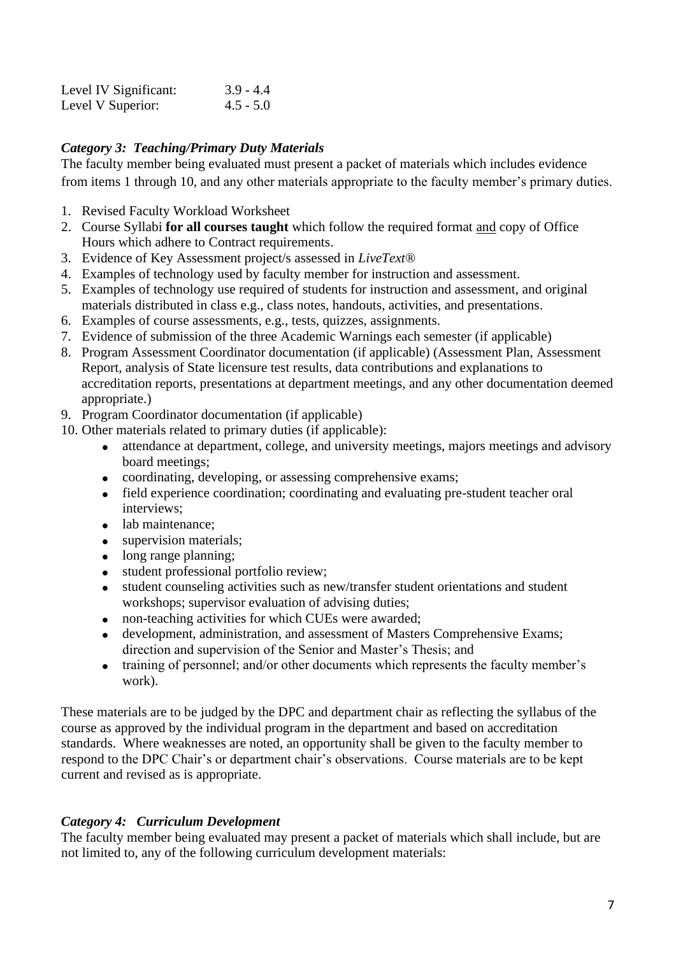| Level IV Significant: | $3.9 - 4.4$ |
|-----------------------|-------------|
| Level V Superior:     | $4.5 - 5.0$ |

## *Category 3: Teaching/Primary Duty Materials*

The faculty member being evaluated must present a packet of materials which includes evidence from items 1 through 10, and any other materials appropriate to the faculty member's primary duties.

- 1. Revised Faculty Workload Worksheet
- 2. Course Syllabi **for all courses taught** which follow the required format and copy of Office Hours which adhere to Contract requirements.
- 3. Evidence of Key Assessment project/s assessed in *LiveText®*
- 4. Examples of technology used by faculty member for instruction and assessment.
- 5. Examples of technology use required of students for instruction and assessment, and original materials distributed in class e.g., class notes, handouts, activities, and presentations.
- 6. Examples of course assessments, e.g., tests, quizzes, assignments.
- 7. Evidence of submission of the three Academic Warnings each semester (if applicable)
- 8. Program Assessment Coordinator documentation (if applicable) (Assessment Plan, Assessment Report, analysis of State licensure test results, data contributions and explanations to accreditation reports, presentations at department meetings, and any other documentation deemed appropriate.)
- 9. Program Coordinator documentation (if applicable)
- 10. Other materials related to primary duties (if applicable):
	- attendance at department, college, and university meetings, majors meetings and advisory board meetings;
	- coordinating, developing, or assessing comprehensive exams;
	- field experience coordination; coordinating and evaluating pre-student teacher oral interviews;
	- lab maintenance;
	- supervision materials;
	- long range planning;
	- student professional portfolio review;
	- student counseling activities such as new/transfer student orientations and student workshops; supervisor evaluation of advising duties;
	- non-teaching activities for which CUEs were awarded;
	- development, administration, and assessment of Masters Comprehensive Exams; direction and supervision of the Senior and Master's Thesis; and
	- training of personnel; and/or other documents which represents the faculty member's work).

These materials are to be judged by the DPC and department chair as reflecting the syllabus of the course as approved by the individual program in the department and based on accreditation standards. Where weaknesses are noted, an opportunity shall be given to the faculty member to respond to the DPC Chair's or department chair's observations. Course materials are to be kept current and revised as is appropriate.

## *Category 4: Curriculum Development*

The faculty member being evaluated may present a packet of materials which shall include, but are not limited to, any of the following curriculum development materials: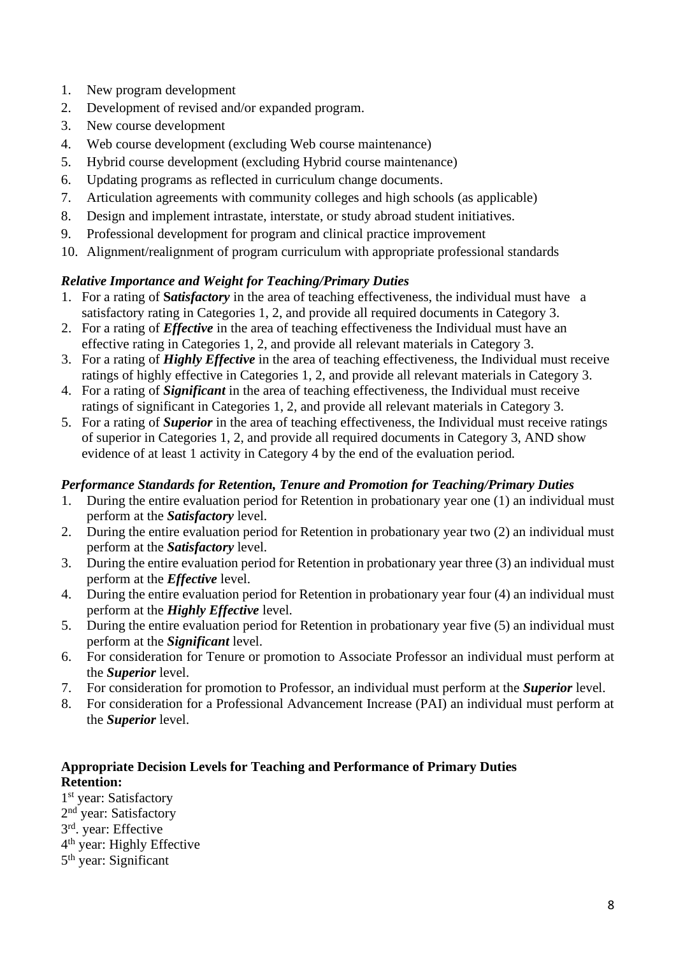- 1. New program development
- 2. Development of revised and/or expanded program.
- 3. New course development
- 4. Web course development (excluding Web course maintenance)
- 5. Hybrid course development (excluding Hybrid course maintenance)
- 6. Updating programs as reflected in curriculum change documents.
- 7. Articulation agreements with community colleges and high schools (as applicable)
- 8. Design and implement intrastate, interstate, or study abroad student initiatives.
- 9. Professional development for program and clinical practice improvement
- 10. Alignment/realignment of program curriculum with appropriate professional standards

## *Relative Importance and Weight for Teaching/Primary Duties*

- 1. For a rating of **S***atisfactory* in the area of teaching effectiveness, the individual must have a satisfactory rating in Categories 1, 2, and provide all required documents in Category 3.
- 2. For a rating of *Effective* in the area of teaching effectiveness the Individual must have an effective rating in Categories 1, 2, and provide all relevant materials in Category 3.
- 3. For a rating of *Highly Effective* in the area of teaching effectiveness, the Individual must receive ratings of highly effective in Categories 1, 2, and provide all relevant materials in Category 3.
- 4. For a rating of *Significant* in the area of teaching effectiveness, the Individual must receive ratings of significant in Categories 1, 2, and provide all relevant materials in Category 3.
- 5. For a rating of *Superior* in the area of teaching effectiveness, the Individual must receive ratings of superior in Categories 1, 2, and provide all required documents in Category 3, AND show evidence of at least 1 activity in Category 4 by the end of the evaluation period*.*

### *Performance Standards for Retention, Tenure and Promotion for Teaching/Primary Duties*

- 1. During the entire evaluation period for Retention in probationary year one (1) an individual must perform at the *Satisfactory* level.
- 2. During the entire evaluation period for Retention in probationary year two (2) an individual must perform at the *Satisfactory* level.
- 3. During the entire evaluation period for Retention in probationary year three (3) an individual must perform at the *Effective* level.
- 4. During the entire evaluation period for Retention in probationary year four (4) an individual must perform at the *Highly Effective* level.
- 5. During the entire evaluation period for Retention in probationary year five (5) an individual must perform at the *Significant* level.
- 6. For consideration for Tenure or promotion to Associate Professor an individual must perform at the *Superior* level.
- 7. For consideration for promotion to Professor, an individual must perform at the *Superior* level.
- 8. For consideration for a Professional Advancement Increase (PAI) an individual must perform at the *Superior* level.

## **Appropriate Decision Levels for Teaching and Performance of Primary Duties Retention:**

1<sup>st</sup> year: Satisfactory 2<sup>nd</sup> year: Satisfactory 3 rd. year: Effective 4 th year: Highly Effective 5<sup>th</sup> year: Significant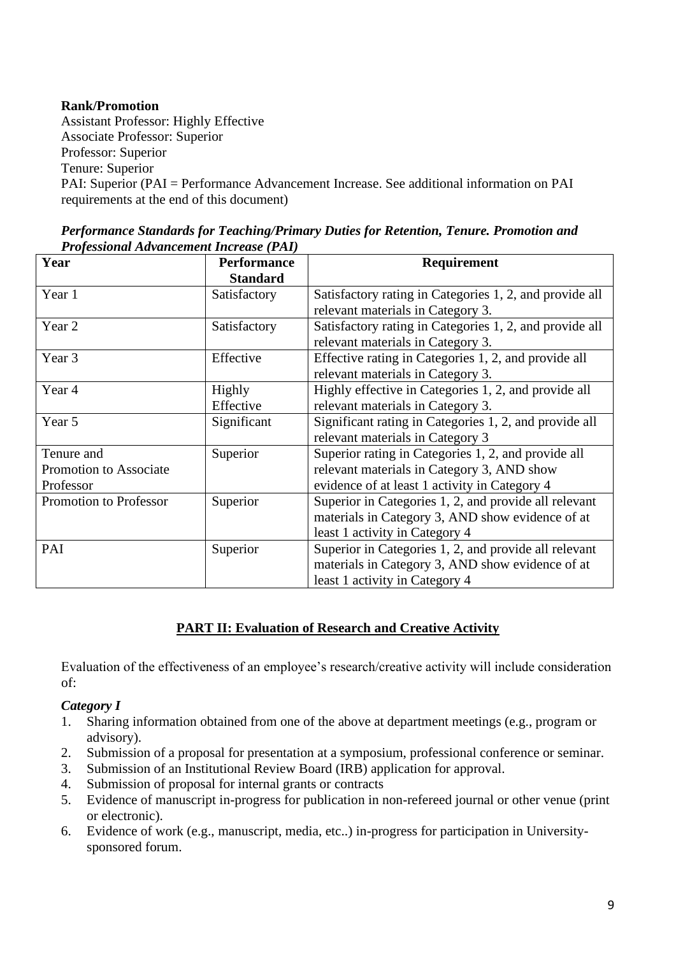### **Rank/Promotion**

Assistant Professor: Highly Effective Associate Professor: Superior Professor: Superior Tenure: Superior PAI: Superior (PAI = Performance Advancement Increase. See additional information on PAI requirements at the end of this document)

| Year                          | <b>Performance</b><br><b>Standard</b> | Requirement                                             |
|-------------------------------|---------------------------------------|---------------------------------------------------------|
| Year 1                        | Satisfactory                          | Satisfactory rating in Categories 1, 2, and provide all |
|                               |                                       | relevant materials in Category 3.                       |
| Year 2                        | Satisfactory                          | Satisfactory rating in Categories 1, 2, and provide all |
|                               |                                       | relevant materials in Category 3.                       |
| Year 3                        | Effective                             | Effective rating in Categories 1, 2, and provide all    |
|                               |                                       | relevant materials in Category 3.                       |
| Year 4                        | <b>Highly</b>                         | Highly effective in Categories 1, 2, and provide all    |
|                               | Effective                             | relevant materials in Category 3.                       |
| Year 5                        | Significant                           | Significant rating in Categories 1, 2, and provide all  |
|                               |                                       | relevant materials in Category 3                        |
| Tenure and                    | Superior                              | Superior rating in Categories 1, 2, and provide all     |
| Promotion to Associate        |                                       | relevant materials in Category 3, AND show              |
| Professor                     |                                       | evidence of at least 1 activity in Category 4           |
| <b>Promotion to Professor</b> | Superior                              | Superior in Categories 1, 2, and provide all relevant   |
|                               |                                       | materials in Category 3, AND show evidence of at        |
|                               |                                       | least 1 activity in Category 4                          |
| PAI                           | Superior                              | Superior in Categories 1, 2, and provide all relevant   |
|                               |                                       | materials in Category 3, AND show evidence of at        |
|                               |                                       | least 1 activity in Category 4                          |

| Performance Standards for Teaching/Primary Duties for Retention, Tenure. Promotion and |  |  |
|----------------------------------------------------------------------------------------|--|--|
| <b>Professional Advancement Increase (PAI)</b>                                         |  |  |

### **PART II: Evaluation of Research and Creative Activity**

Evaluation of the effectiveness of an employee's research/creative activity will include consideration of:

### *Category I*

- 1. Sharing information obtained from one of the above at department meetings (e.g., program or advisory).
- 2. Submission of a proposal for presentation at a symposium, professional conference or seminar.
- 3. Submission of an Institutional Review Board (IRB) application for approval.
- 4. Submission of proposal for internal grants or contracts
- 5. Evidence of manuscript in-progress for publication in non-refereed journal or other venue (print or electronic).
- 6. Evidence of work (e.g., manuscript, media, etc..) in-progress for participation in Universitysponsored forum.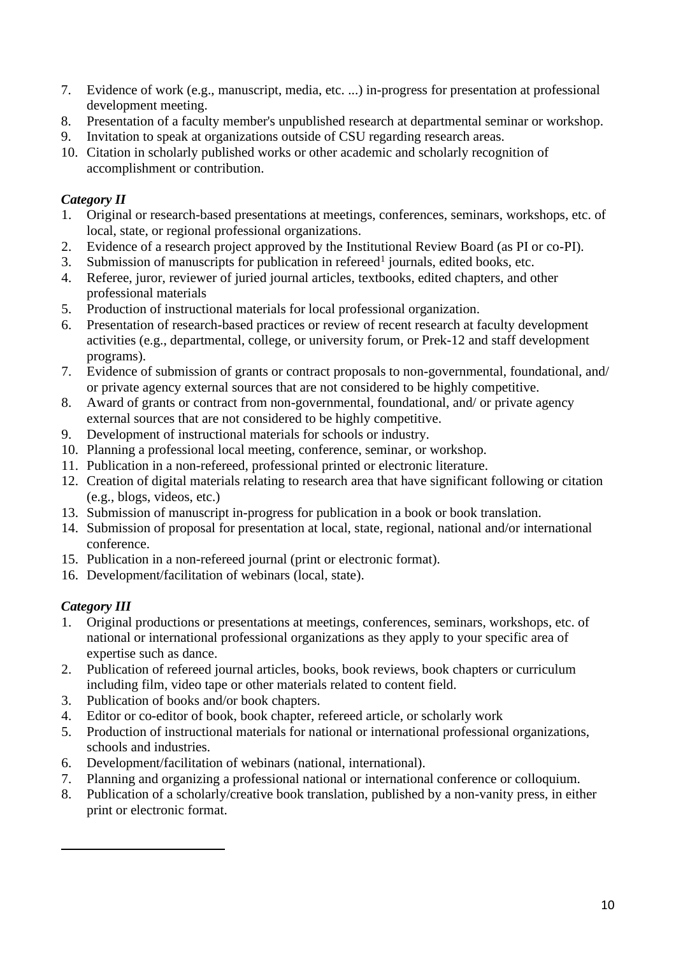- 7. Evidence of work (e.g., manuscript, media, etc. ...) in-progress for presentation at professional development meeting.
- 8. Presentation of a faculty member's unpublished research at departmental seminar or workshop.
- 9. Invitation to speak at organizations outside of CSU regarding research areas.
- 10. Citation in scholarly published works or other academic and scholarly recognition of accomplishment or contribution.

## *Category II*

- 1. Original or research-based presentations at meetings, conferences, seminars, workshops, etc. of local, state, or regional professional organizations.
- 2. Evidence of a research project approved by the Institutional Review Board (as PI or co-PI).
- 3. Submission of manuscripts for publication in refereed<sup>1</sup> journals, edited books, etc.
- 4. Referee, juror, reviewer of juried journal articles, textbooks, edited chapters, and other professional materials
- 5. Production of instructional materials for local professional organization.
- 6. Presentation of research-based practices or review of recent research at faculty development activities (e.g., departmental, college, or university forum, or Prek-12 and staff development programs).
- 7. Evidence of submission of grants or contract proposals to non-governmental, foundational, and/ or private agency external sources that are not considered to be highly competitive.
- 8. Award of grants or contract from non-governmental, foundational, and/ or private agency external sources that are not considered to be highly competitive.
- 9. Development of instructional materials for schools or industry.
- 10. Planning a professional local meeting, conference, seminar, or workshop.
- 11. Publication in a non-refereed, professional printed or electronic literature.
- 12. Creation of digital materials relating to research area that have significant following or citation (e.g., blogs, videos, etc.)
- 13. Submission of manuscript in-progress for publication in a book or book translation.
- 14. Submission of proposal for presentation at local, state, regional, national and/or international conference.
- 15. Publication in a non-refereed journal (print or electronic format).
- 16. Development/facilitation of webinars (local, state).

## *Category III*

- 1. Original productions or presentations at meetings, conferences, seminars, workshops, etc. of national or international professional organizations as they apply to your specific area of expertise such as dance.
- 2. Publication of refereed journal articles, books, book reviews, book chapters or curriculum including film, video tape or other materials related to content field.
- 3. Publication of books and/or book chapters.
- 4. Editor or co-editor of book, book chapter, refereed article, or scholarly work
- 5. Production of instructional materials for national or international professional organizations, schools and industries.
- 6. Development/facilitation of webinars (national, international).
- 7. Planning and organizing a professional national or international conference or colloquium.
- 8. Publication of a scholarly/creative book translation, published by a non-vanity press, in either print or electronic format.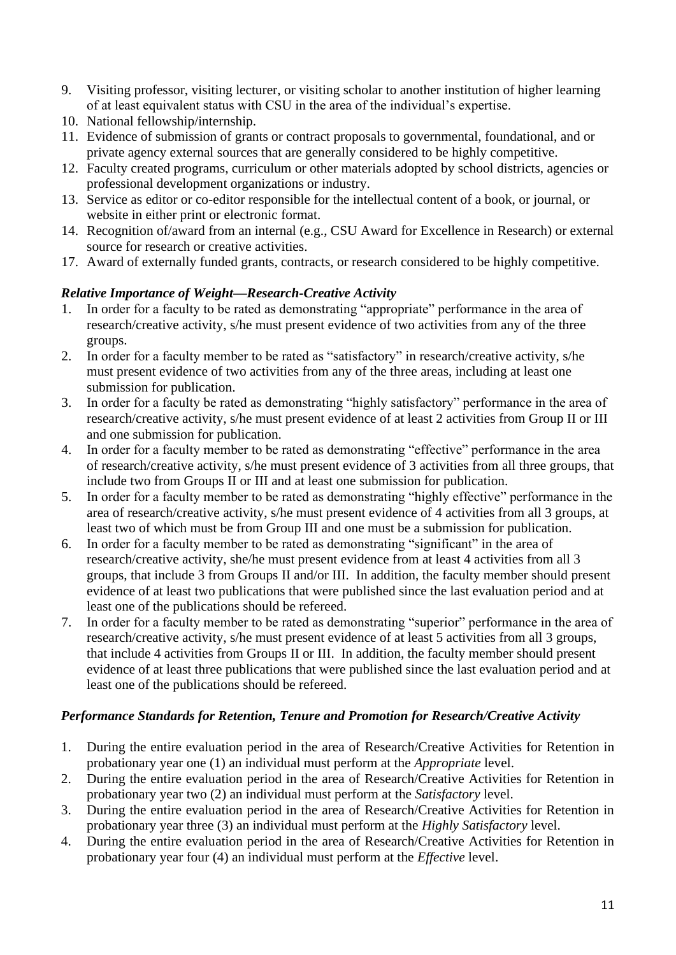- 9. Visiting professor, visiting lecturer, or visiting scholar to another institution of higher learning of at least equivalent status with CSU in the area of the individual's expertise.
- 10. National fellowship/internship.
- 11. Evidence of submission of grants or contract proposals to governmental, foundational, and or private agency external sources that are generally considered to be highly competitive.
- 12. Faculty created programs, curriculum or other materials adopted by school districts, agencies or professional development organizations or industry.
- 13. Service as editor or co-editor responsible for the intellectual content of a book, or journal, or website in either print or electronic format.
- 14. Recognition of/award from an internal (e.g., CSU Award for Excellence in Research) or external source for research or creative activities.
- 17. Award of externally funded grants, contracts, or research considered to be highly competitive.

## *Relative Importance of Weight—Research-Creative Activity*

- 1. In order for a faculty to be rated as demonstrating "appropriate" performance in the area of research/creative activity, s/he must present evidence of two activities from any of the three groups.
- 2. In order for a faculty member to be rated as "satisfactory" in research/creative activity, s/he must present evidence of two activities from any of the three areas, including at least one submission for publication.
- 3. In order for a faculty be rated as demonstrating "highly satisfactory" performance in the area of research/creative activity, s/he must present evidence of at least 2 activities from Group II or III and one submission for publication.
- 4. In order for a faculty member to be rated as demonstrating "effective" performance in the area of research/creative activity, s/he must present evidence of 3 activities from all three groups, that include two from Groups II or III and at least one submission for publication.
- 5. In order for a faculty member to be rated as demonstrating "highly effective" performance in the area of research/creative activity, s/he must present evidence of 4 activities from all 3 groups, at least two of which must be from Group III and one must be a submission for publication.
- 6. In order for a faculty member to be rated as demonstrating "significant" in the area of research/creative activity, she/he must present evidence from at least 4 activities from all 3 groups, that include 3 from Groups II and/or III. In addition, the faculty member should present evidence of at least two publications that were published since the last evaluation period and at least one of the publications should be refereed.
- 7. In order for a faculty member to be rated as demonstrating "superior" performance in the area of research/creative activity, s/he must present evidence of at least 5 activities from all 3 groups, that include 4 activities from Groups II or III. In addition, the faculty member should present evidence of at least three publications that were published since the last evaluation period and at least one of the publications should be refereed.

## *Performance Standards for Retention, Tenure and Promotion for Research/Creative Activity*

- 1. During the entire evaluation period in the area of Research/Creative Activities for Retention in probationary year one (1) an individual must perform at the *Appropriate* level.
- 2. During the entire evaluation period in the area of Research/Creative Activities for Retention in probationary year two (2) an individual must perform at the *Satisfactory* level.
- 3. During the entire evaluation period in the area of Research/Creative Activities for Retention in probationary year three (3) an individual must perform at the *Highly Satisfactory* level.
- 4. During the entire evaluation period in the area of Research/Creative Activities for Retention in probationary year four (4) an individual must perform at the *Effective* level.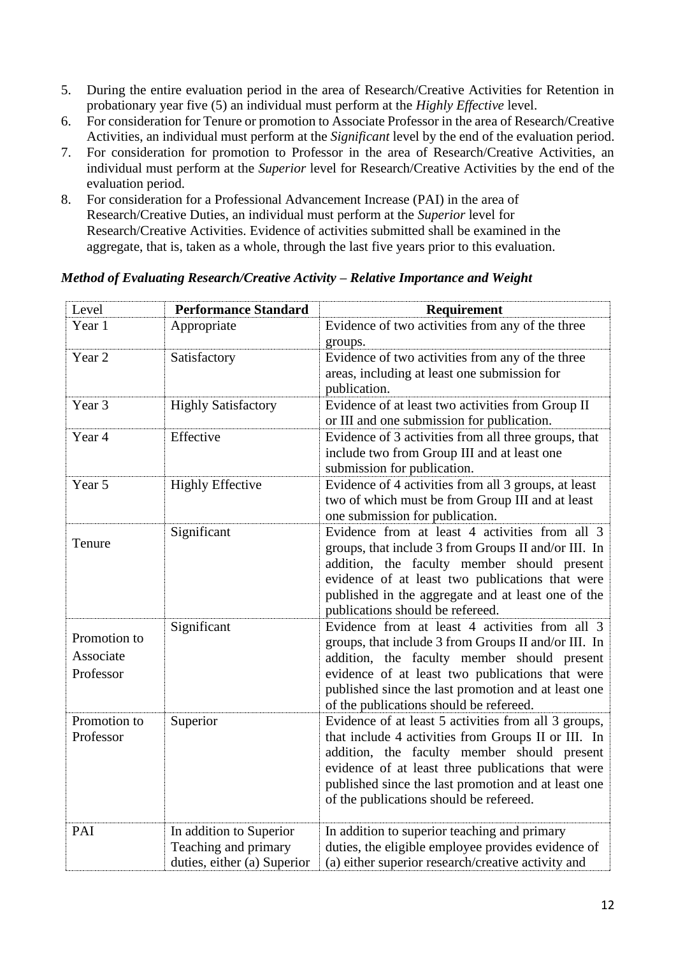- 5. During the entire evaluation period in the area of Research/Creative Activities for Retention in probationary year five (5) an individual must perform at the *Highly Effective* level.
- 6. For consideration for Tenure or promotion to Associate Professor in the area of Research/Creative Activities, an individual must perform at the *Significant* level by the end of the evaluation period.
- 7. For consideration for promotion to Professor in the area of Research/Creative Activities, an individual must perform at the *Superior* level for Research/Creative Activities by the end of the evaluation period.
- 8. For consideration for a Professional Advancement Increase (PAI) in the area of Research/Creative Duties, an individual must perform at the *Superior* level for Research/Creative Activities. Evidence of activities submitted shall be examined in the aggregate, that is, taken as a whole, through the last five years prior to this evaluation.

| Level                                  | <b>Performance Standard</b>                                                    | Requirement                                                                                                                                                                                                                                                                                                       |
|----------------------------------------|--------------------------------------------------------------------------------|-------------------------------------------------------------------------------------------------------------------------------------------------------------------------------------------------------------------------------------------------------------------------------------------------------------------|
| Year 1                                 | Appropriate                                                                    | Evidence of two activities from any of the three<br>groups.                                                                                                                                                                                                                                                       |
| Year 2                                 | Satisfactory                                                                   | Evidence of two activities from any of the three<br>areas, including at least one submission for<br>publication.                                                                                                                                                                                                  |
| Year 3                                 | <b>Highly Satisfactory</b>                                                     | Evidence of at least two activities from Group II<br>or III and one submission for publication.                                                                                                                                                                                                                   |
| Year 4                                 | Effective                                                                      | Evidence of 3 activities from all three groups, that<br>include two from Group III and at least one<br>submission for publication.                                                                                                                                                                                |
| Year 5                                 | <b>Highly Effective</b>                                                        | Evidence of 4 activities from all 3 groups, at least<br>two of which must be from Group III and at least<br>one submission for publication.                                                                                                                                                                       |
| Tenure                                 | Significant                                                                    | Evidence from at least 4 activities from all 3<br>groups, that include 3 from Groups II and/or III. In<br>addition, the faculty member should present<br>evidence of at least two publications that were<br>published in the aggregate and at least one of the<br>publications should be refereed.                |
| Promotion to<br>Associate<br>Professor | Significant                                                                    | Evidence from at least 4 activities from all 3<br>groups, that include 3 from Groups II and/or III. In<br>addition, the faculty member should present<br>evidence of at least two publications that were<br>published since the last promotion and at least one<br>of the publications should be refereed.        |
| Promotion to<br>Professor              | Superior                                                                       | Evidence of at least 5 activities from all 3 groups,<br>that include 4 activities from Groups II or III. In<br>addition, the faculty member should present<br>evidence of at least three publications that were<br>published since the last promotion and at least one<br>of the publications should be refereed. |
| PAI                                    | In addition to Superior<br>Teaching and primary<br>duties, either (a) Superior | In addition to superior teaching and primary<br>duties, the eligible employee provides evidence of<br>(a) either superior research/creative activity and                                                                                                                                                          |

## *Method of Evaluating Research/Creative Activity – Relative Importance and Weight*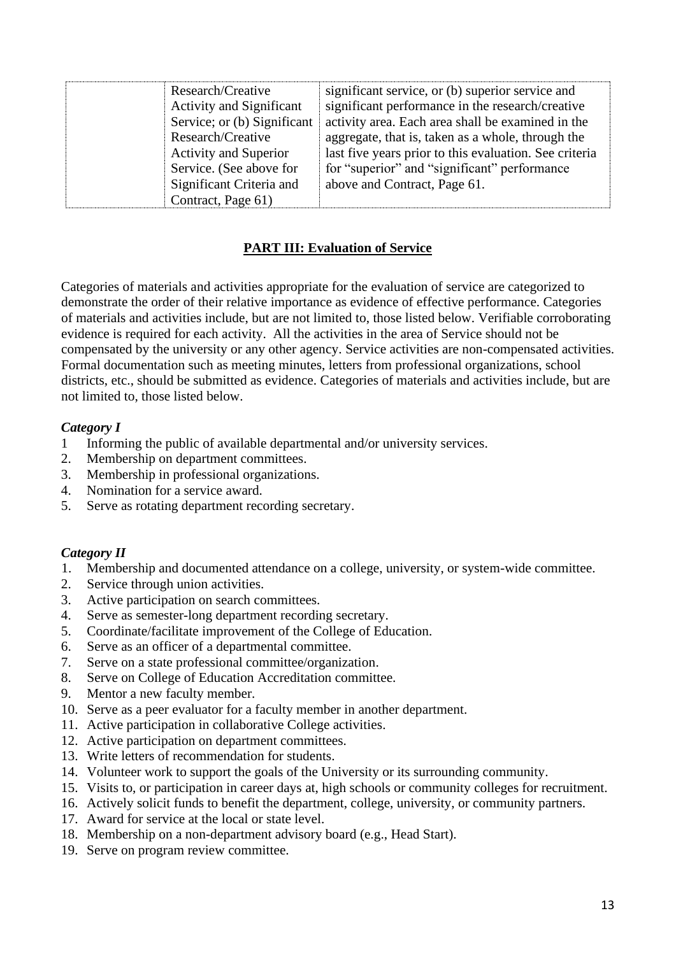| Research/Creative               | significant service, or (b) superior service and       |
|---------------------------------|--------------------------------------------------------|
| <b>Activity and Significant</b> | significant performance in the research/creative       |
| Service; or (b) Significant     | activity area. Each area shall be examined in the      |
| Research/Creative               | aggregate, that is, taken as a whole, through the      |
| <b>Activity and Superior</b>    | last five years prior to this evaluation. See criteria |
| Service. (See above for         | for "superior" and "significant" performance           |
| Significant Criteria and        | above and Contract, Page 61.                           |
| Contract, Page 61)              |                                                        |

## **PART III: Evaluation of Service**

<span id="page-12-0"></span>Categories of materials and activities appropriate for the evaluation of service are categorized to demonstrate the order of their relative importance as evidence of effective performance. Categories of materials and activities include, but are not limited to, those listed below. Verifiable corroborating evidence is required for each activity. All the activities in the area of Service should not be compensated by the university or any other agency. Service activities are non-compensated activities. Formal documentation such as meeting minutes, letters from professional organizations, school districts, etc., should be submitted as evidence. Categories of materials and activities include, but are not limited to, those listed below.

#### *Category I*

- 1 Informing the public of available departmental and/or university services.
- 2. Membership on department committees.
- 3. Membership in professional organizations.
- 4. Nomination for a service award.
- 5. Serve as rotating department recording secretary.

### *Category II*

- 1. Membership and documented attendance on a college, university, or system-wide committee.
- 2. Service through union activities.
- 3. Active participation on search committees.
- 4. Serve as semester-long department recording secretary.
- 5. Coordinate/facilitate improvement of the College of Education.
- 6. Serve as an officer of a departmental committee.
- 7. Serve on a state professional committee/organization.
- 8. Serve on College of Education Accreditation committee.
- 9. Mentor a new faculty member.
- 10. Serve as a peer evaluator for a faculty member in another department.
- 11. Active participation in collaborative College activities.
- 12. Active participation on department committees.
- 13. Write letters of recommendation for students.
- 14. Volunteer work to support the goals of the University or its surrounding community.
- 15. Visits to, or participation in career days at, high schools or community colleges for recruitment.
- 16. Actively solicit funds to benefit the department, college, university, or community partners.
- 17. Award for service at the local or state level.
- 18. Membership on a non-department advisory board (e.g., Head Start).
- 19. Serve on program review committee.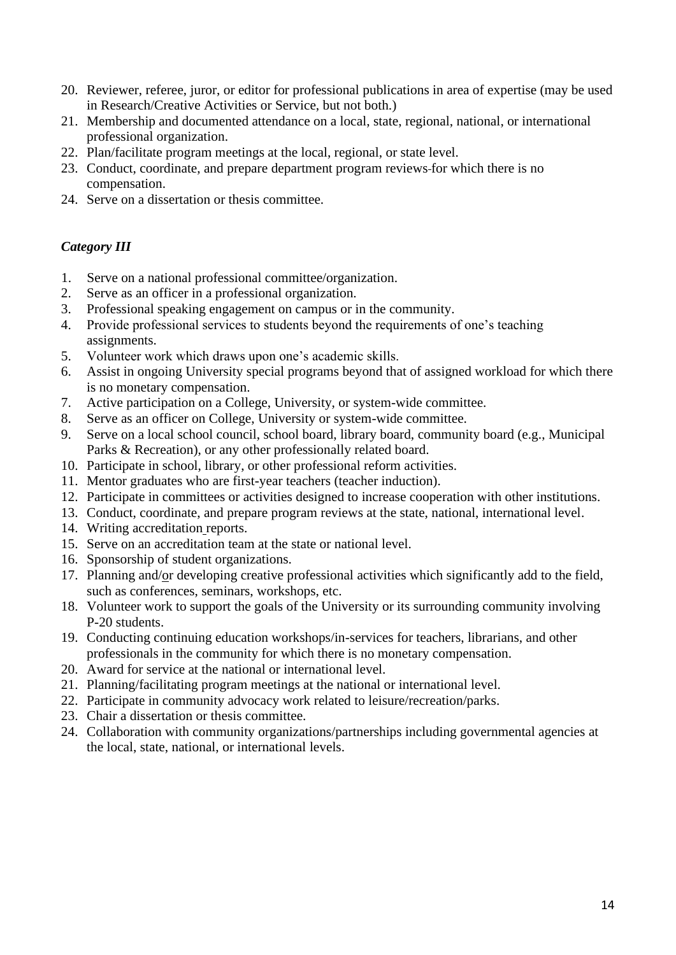- 20. Reviewer, referee, juror, or editor for professional publications in area of expertise (may be used in Research/Creative Activities or Service, but not both.)
- 21. Membership and documented attendance on a local, state, regional, national, or international professional organization.
- 22. Plan/facilitate program meetings at the local, regional, or state level.
- 23. Conduct, coordinate, and prepare department program reviews for which there is no compensation.
- 24. Serve on a dissertation or thesis committee.

## *Category III*

- 1. Serve on a national professional committee/organization.
- 2. Serve as an officer in a professional organization.
- 3. Professional speaking engagement on campus or in the community.
- 4. Provide professional services to students beyond the requirements of one's teaching assignments.
- 5. Volunteer work which draws upon one's academic skills.
- 6. Assist in ongoing University special programs beyond that of assigned workload for which there is no monetary compensation.
- 7. Active participation on a College, University, or system-wide committee.
- 8. Serve as an officer on College, University or system-wide committee.
- 9. Serve on a local school council, school board, library board, community board (e.g., Municipal Parks & Recreation), or any other professionally related board.
- 10. Participate in school, library, or other professional reform activities.
- 11. Mentor graduates who are first-year teachers (teacher induction).
- 12. Participate in committees or activities designed to increase cooperation with other institutions.
- 13. Conduct, coordinate, and prepare program reviews at the state, national, international level.
- 14. Writing accreditation reports.
- 15. Serve on an accreditation team at the state or national level.
- 16. Sponsorship of student organizations.
- 17. Planning and/or developing creative professional activities which significantly add to the field, such as conferences, seminars, workshops, etc.
- 18. Volunteer work to support the goals of the University or its surrounding community involving P-20 students.
- 19. Conducting continuing education workshops/in-services for teachers, librarians, and other professionals in the community for which there is no monetary compensation.
- 20. Award for service at the national or international level.
- 21. Planning/facilitating program meetings at the national or international level.
- 22. Participate in community advocacy work related to leisure/recreation/parks.
- 23. Chair a dissertation or thesis committee.
- 24. Collaboration with community organizations/partnerships including governmental agencies at the local, state, national, or international levels.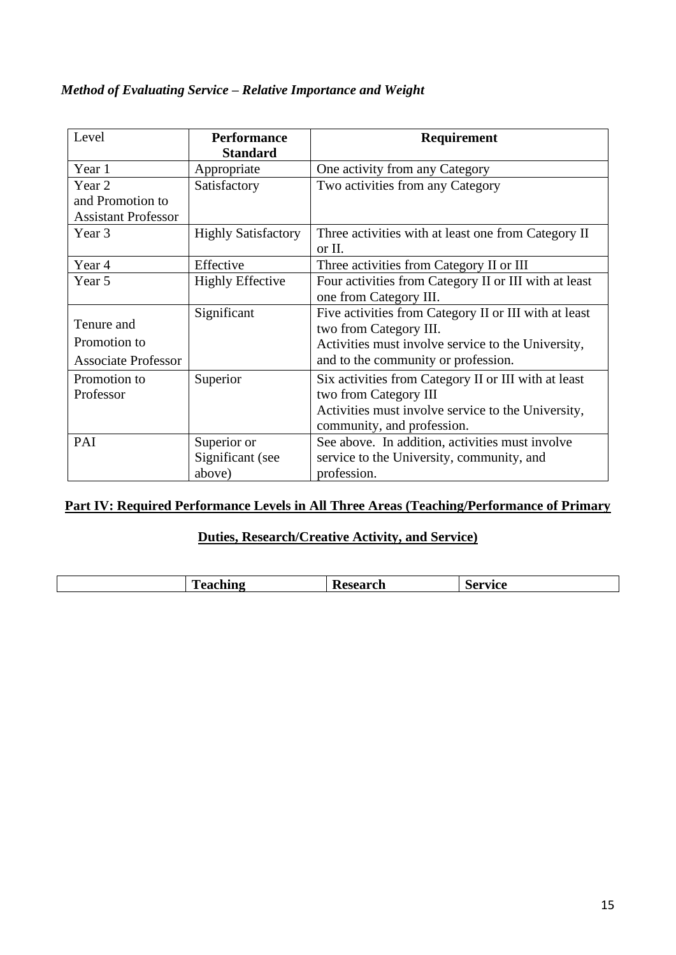## *Method of Evaluating Service – Relative Importance and Weight*

| Level                      | <b>Performance</b><br><b>Standard</b> | Requirement                                           |
|----------------------------|---------------------------------------|-------------------------------------------------------|
| Year 1                     | Appropriate                           | One activity from any Category                        |
| Year 2                     | Satisfactory                          | Two activities from any Category                      |
| and Promotion to           |                                       |                                                       |
| <b>Assistant Professor</b> |                                       |                                                       |
| Year 3                     | <b>Highly Satisfactory</b>            | Three activities with at least one from Category II   |
|                            |                                       | or II.                                                |
| Year 4                     | Effective                             | Three activities from Category II or III              |
| Year 5                     | <b>Highly Effective</b>               | Four activities from Category II or III with at least |
|                            |                                       | one from Category III.                                |
|                            | Significant                           | Five activities from Category II or III with at least |
| Tenure and                 |                                       | two from Category III.                                |
| Promotion to               |                                       | Activities must involve service to the University,    |
| <b>Associate Professor</b> |                                       | and to the community or profession.                   |
| Promotion to               | Superior                              | Six activities from Category II or III with at least  |
| Professor                  |                                       | two from Category III                                 |
|                            |                                       | Activities must involve service to the University,    |
|                            |                                       | community, and profession.                            |
| PAI                        | Superior or                           | See above. In addition, activities must involve       |
|                            | Significant (see                      | service to the University, community, and             |
|                            | above)                                | profession.                                           |

## <span id="page-14-0"></span>**Part IV: Required Performance Levels in All Three Areas (Teaching/Performance of Primary**

## **Duties, Research/Creative Activity, and Service)**

|  | m<br>$\sim$<br>D<br>~ l^÷~~ ~<br>`search<br>$\blacksquare$ $\blacksquare$<br>N<br>۰. |  |
|--|--------------------------------------------------------------------------------------|--|
|--|--------------------------------------------------------------------------------------|--|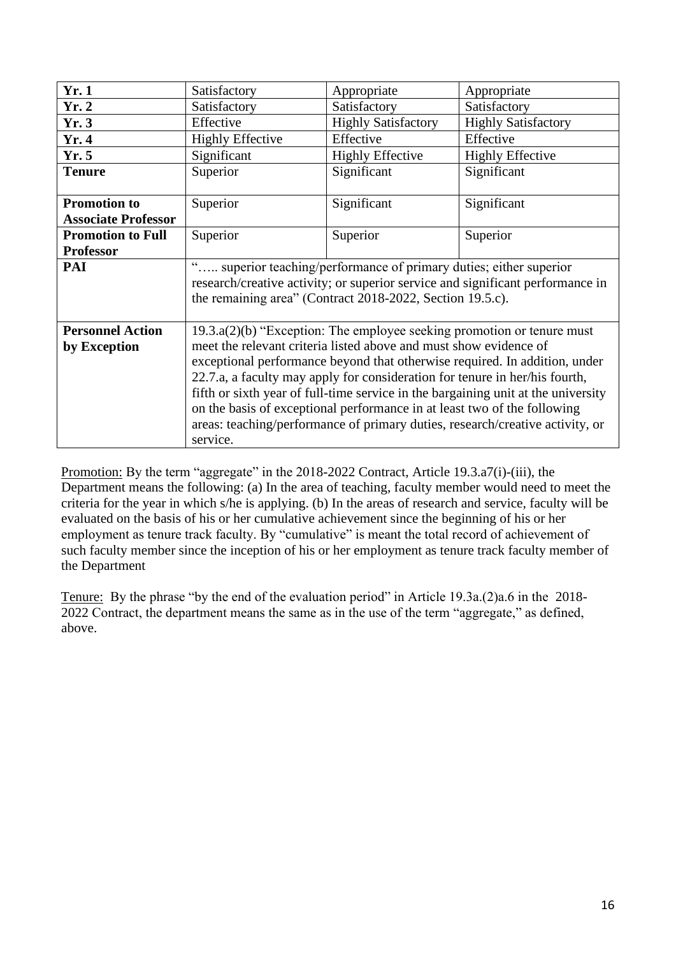| Yr.1                                              | Satisfactory                                                                                                                                                                                                                                                                                                                                                                                                                                                                                                                                                             | Appropriate                | Appropriate                |
|---------------------------------------------------|--------------------------------------------------------------------------------------------------------------------------------------------------------------------------------------------------------------------------------------------------------------------------------------------------------------------------------------------------------------------------------------------------------------------------------------------------------------------------------------------------------------------------------------------------------------------------|----------------------------|----------------------------|
| Yr.2                                              | Satisfactory                                                                                                                                                                                                                                                                                                                                                                                                                                                                                                                                                             | Satisfactory               | Satisfactory               |
| Yr.3                                              | Effective                                                                                                                                                                                                                                                                                                                                                                                                                                                                                                                                                                | <b>Highly Satisfactory</b> | <b>Highly Satisfactory</b> |
| Yr. 4                                             | <b>Highly Effective</b>                                                                                                                                                                                                                                                                                                                                                                                                                                                                                                                                                  | Effective                  | Effective                  |
| Yr.5                                              | Significant                                                                                                                                                                                                                                                                                                                                                                                                                                                                                                                                                              | <b>Highly Effective</b>    | <b>Highly Effective</b>    |
| <b>Tenure</b>                                     | Superior                                                                                                                                                                                                                                                                                                                                                                                                                                                                                                                                                                 | Significant                | Significant                |
| <b>Promotion to</b><br><b>Associate Professor</b> | Superior                                                                                                                                                                                                                                                                                                                                                                                                                                                                                                                                                                 | Significant                | Significant                |
| <b>Promotion to Full</b><br><b>Professor</b>      | Superior                                                                                                                                                                                                                                                                                                                                                                                                                                                                                                                                                                 | Superior                   | Superior                   |
| PAI                                               | " superior teaching/performance of primary duties; either superior<br>research/creative activity; or superior service and significant performance in<br>the remaining area" (Contract 2018-2022, Section 19.5.c).                                                                                                                                                                                                                                                                                                                                                        |                            |                            |
| <b>Personnel Action</b><br>by Exception           | $19.3.a(2)(b)$ "Exception: The employee seeking promotion or tenure must<br>meet the relevant criteria listed above and must show evidence of<br>exceptional performance beyond that otherwise required. In addition, under<br>22.7.a, a faculty may apply for consideration for tenure in her/his fourth,<br>fifth or sixth year of full-time service in the bargaining unit at the university<br>on the basis of exceptional performance in at least two of the following<br>areas: teaching/performance of primary duties, research/creative activity, or<br>service. |                            |                            |

Promotion: By the term "aggregate" in the 2018-2022 Contract, Article 19.3.a7(i)-(iii), the Department means the following: (a) In the area of teaching, faculty member would need to meet the criteria for the year in which s/he is applying. (b) In the areas of research and service, faculty will be evaluated on the basis of his or her cumulative achievement since the beginning of his or her employment as tenure track faculty. By "cumulative" is meant the total record of achievement of such faculty member since the inception of his or her employment as tenure track faculty member of the Department

Tenure: By the phrase "by the end of the evaluation period" in Article 19.3a.(2)a.6 in the 2018- 2022 Contract, the department means the same as in the use of the term "aggregate," as defined, above.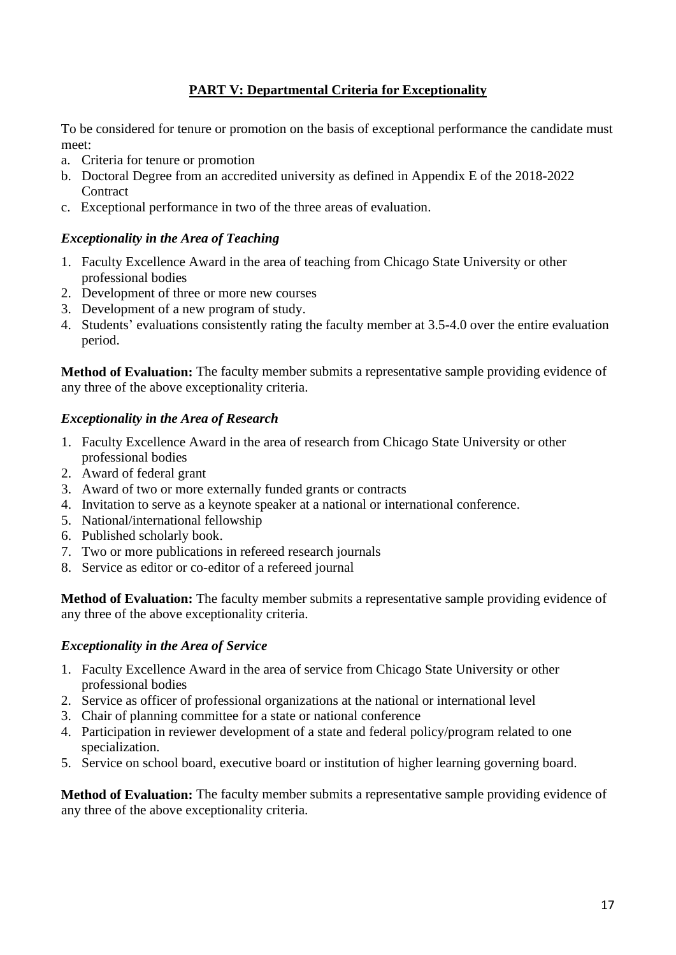## **PART V: Departmental Criteria for Exceptionality**

<span id="page-16-0"></span>To be considered for tenure or promotion on the basis of exceptional performance the candidate must meet:

- a. Criteria for tenure or promotion
- b. Doctoral Degree from an accredited university as defined in Appendix E of the 2018-2022 **Contract**
- c. Exceptional performance in two of the three areas of evaluation.

### *Exceptionality in the Area of Teaching*

- 1. Faculty Excellence Award in the area of teaching from Chicago State University or other professional bodies
- 2. Development of three or more new courses
- 3. Development of a new program of study.
- 4. Students' evaluations consistently rating the faculty member at 3.5-4.0 over the entire evaluation period.

**Method of Evaluation:** The faculty member submits a representative sample providing evidence of any three of the above exceptionality criteria.

### *Exceptionality in the Area of Research*

- 1. Faculty Excellence Award in the area of research from Chicago State University or other professional bodies
- 2. Award of federal grant
- 3. Award of two or more externally funded grants or contracts
- 4. Invitation to serve as a keynote speaker at a national or international conference.
- 5. National/international fellowship
- 6. Published scholarly book.
- 7. Two or more publications in refereed research journals
- 8. Service as editor or co-editor of a refereed journal

**Method of Evaluation:** The faculty member submits a representative sample providing evidence of any three of the above exceptionality criteria.

### *Exceptionality in the Area of Service*

- 1. Faculty Excellence Award in the area of service from Chicago State University or other professional bodies
- 2. Service as officer of professional organizations at the national or international level
- 3. Chair of planning committee for a state or national conference
- 4. Participation in reviewer development of a state and federal policy/program related to one specialization.
- 5. Service on school board, executive board or institution of higher learning governing board.

**Method of Evaluation:** The faculty member submits a representative sample providing evidence of any three of the above exceptionality criteria.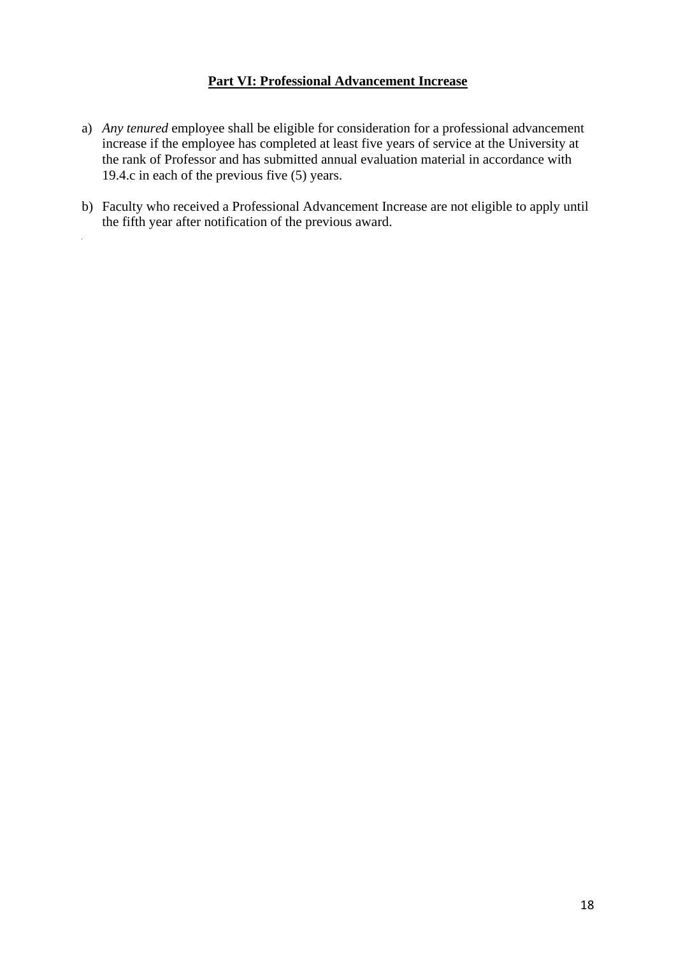#### **Part VI: Professional Advancement Increase**

- <span id="page-17-0"></span>a) *Any tenured* employee shall be eligible for consideration for a professional advancement increase if the employee has completed at least five years of service at the University at the rank of Professor and has submitted annual evaluation material in accordance with 19.4.c in each of the previous five (5) years.
- b) Faculty who received a Professional Advancement Increase are not eligible to apply until the fifth year after notification of the previous award.

 $\mathcal{L}$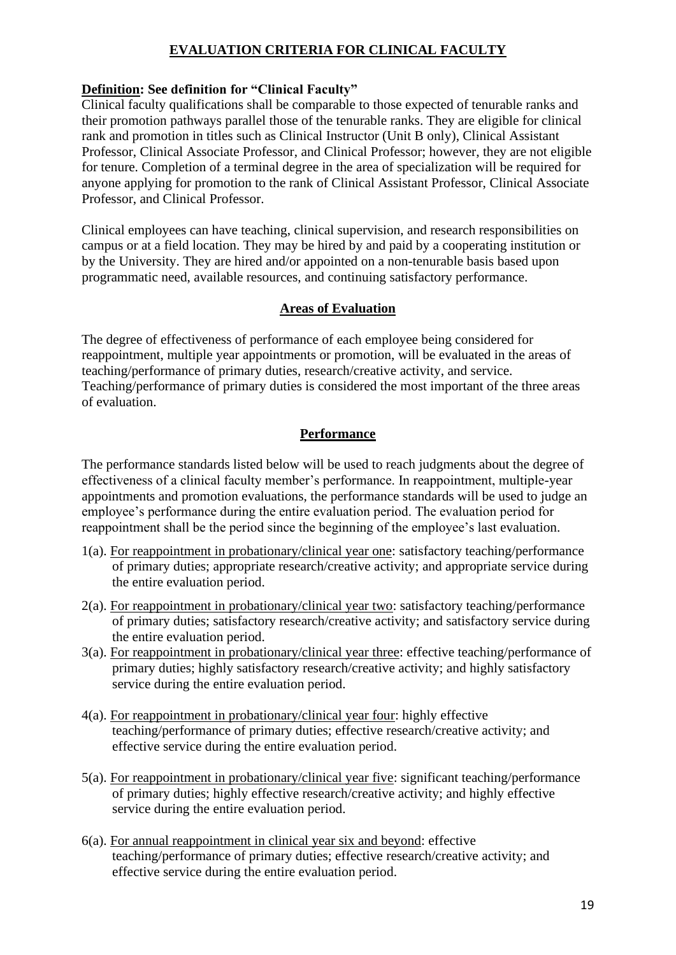## **EVALUATION CRITERIA FOR CLINICAL FACULTY**

## <span id="page-18-0"></span>**Definition: See definition for "Clinical Faculty"**

Clinical faculty qualifications shall be comparable to those expected of tenurable ranks and their promotion pathways parallel those of the tenurable ranks. They are eligible for clinical rank and promotion in titles such as Clinical Instructor (Unit B only), Clinical Assistant Professor, Clinical Associate Professor, and Clinical Professor; however, they are not eligible for tenure. Completion of a terminal degree in the area of specialization will be required for anyone applying for promotion to the rank of Clinical Assistant Professor, Clinical Associate Professor, and Clinical Professor.

Clinical employees can have teaching, clinical supervision, and research responsibilities on campus or at a field location. They may be hired by and paid by a cooperating institution or by the University. They are hired and/or appointed on a non-tenurable basis based upon programmatic need, available resources, and continuing satisfactory performance.

### **Areas of Evaluation**

<span id="page-18-1"></span>The degree of effectiveness of performance of each employee being considered for reappointment, multiple year appointments or promotion, will be evaluated in the areas of teaching/performance of primary duties, research/creative activity, and service. Teaching/performance of primary duties is considered the most important of the three areas of evaluation.

## **Performance**

<span id="page-18-2"></span>The performance standards listed below will be used to reach judgments about the degree of effectiveness of a clinical faculty member's performance. In reappointment, multiple-year appointments and promotion evaluations, the performance standards will be used to judge an employee's performance during the entire evaluation period. The evaluation period for reappointment shall be the period since the beginning of the employee's last evaluation.

- 1(a). For reappointment in probationary/clinical year one: satisfactory teaching/performance of primary duties; appropriate research/creative activity; and appropriate service during the entire evaluation period.
- 2(a). For reappointment in probationary/clinical year two: satisfactory teaching/performance of primary duties; satisfactory research/creative activity; and satisfactory service during the entire evaluation period.
- 3(a). For reappointment in probationary/clinical year three: effective teaching/performance of primary duties; highly satisfactory research/creative activity; and highly satisfactory service during the entire evaluation period.
- 4(a). For reappointment in probationary/clinical year four: highly effective teaching/performance of primary duties; effective research/creative activity; and effective service during the entire evaluation period.
- 5(a). For reappointment in probationary/clinical year five: significant teaching/performance of primary duties; highly effective research/creative activity; and highly effective service during the entire evaluation period.
- 6(a). For annual reappointment in clinical year six and beyond: effective teaching/performance of primary duties; effective research/creative activity; and effective service during the entire evaluation period.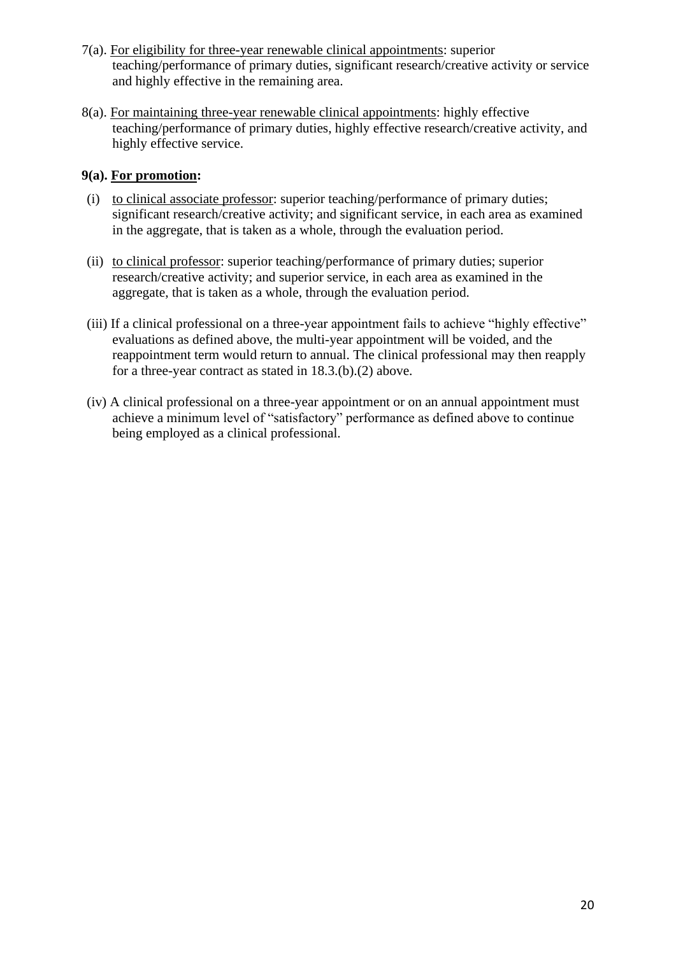- 7(a). For eligibility for three-year renewable clinical appointments: superior teaching/performance of primary duties, significant research/creative activity or service and highly effective in the remaining area.
- 8(a). For maintaining three-year renewable clinical appointments: highly effective teaching/performance of primary duties, highly effective research/creative activity, and highly effective service.

### **9(a). For promotion:**

- (i) to clinical associate professor: superior teaching/performance of primary duties; significant research/creative activity; and significant service, in each area as examined in the aggregate, that is taken as a whole, through the evaluation period.
- (ii) to clinical professor: superior teaching/performance of primary duties; superior research/creative activity; and superior service, in each area as examined in the aggregate, that is taken as a whole, through the evaluation period.
- (iii) If a clinical professional on a three-year appointment fails to achieve "highly effective" evaluations as defined above, the multi-year appointment will be voided, and the reappointment term would return to annual. The clinical professional may then reapply for a three-year contract as stated in 18.3.(b).(2) above.
- (iv) A clinical professional on a three-year appointment or on an annual appointment must achieve a minimum level of "satisfactory" performance as defined above to continue being employed as a clinical professional.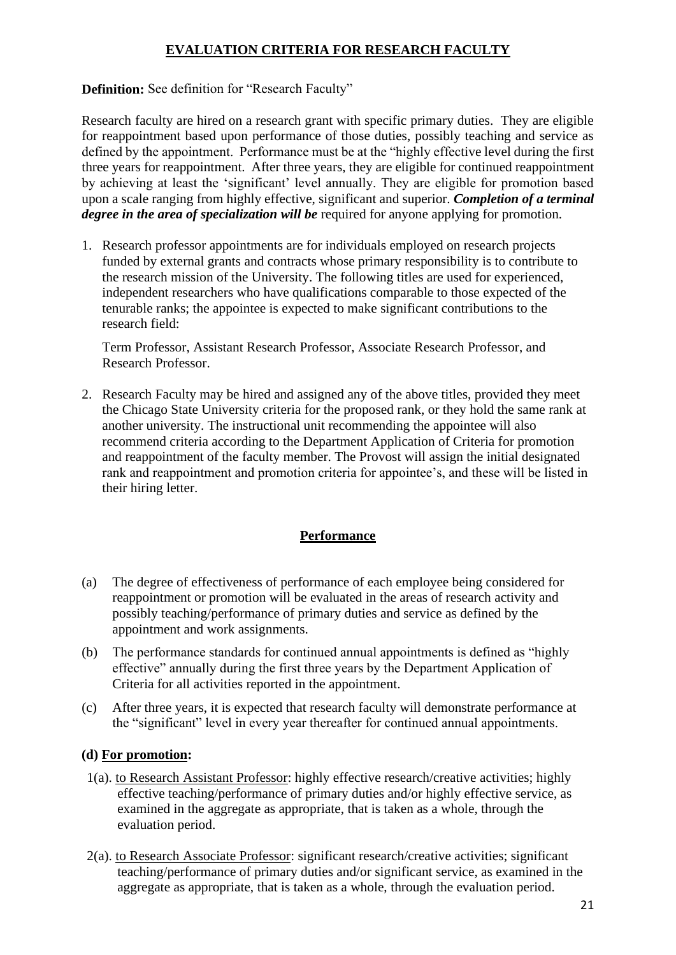## **EVALUATION CRITERIA FOR RESEARCH FACULTY**

### <span id="page-20-0"></span>**Definition:** See definition for "Research Faculty"

Research faculty are hired on a research grant with specific primary duties. They are eligible for reappointment based upon performance of those duties, possibly teaching and service as defined by the appointment. Performance must be at the "highly effective level during the first three years for reappointment. After three years, they are eligible for continued reappointment by achieving at least the 'significant' level annually. They are eligible for promotion based upon a scale ranging from highly effective, significant and superior. *Completion of a terminal degree in the area of specialization will be* required for anyone applying for promotion.

1. Research professor appointments are for individuals employed on research projects funded by external grants and contracts whose primary responsibility is to contribute to the research mission of the University. The following titles are used for experienced, independent researchers who have qualifications comparable to those expected of the tenurable ranks; the appointee is expected to make significant contributions to the research field:

Term Professor, Assistant Research Professor, Associate Research Professor, and Research Professor.

2. Research Faculty may be hired and assigned any of the above titles, provided they meet the Chicago State University criteria for the proposed rank, or they hold the same rank at another university. The instructional unit recommending the appointee will also recommend criteria according to the Department Application of Criteria for promotion and reappointment of the faculty member. The Provost will assign the initial designated rank and reappointment and promotion criteria for appointee's, and these will be listed in their hiring letter.

### **Performance**

- <span id="page-20-1"></span>(a) The degree of effectiveness of performance of each employee being considered for reappointment or promotion will be evaluated in the areas of research activity and possibly teaching/performance of primary duties and service as defined by the appointment and work assignments.
- (b) The performance standards for continued annual appointments is defined as "highly effective" annually during the first three years by the Department Application of Criteria for all activities reported in the appointment.
- (c) After three years, it is expected that research faculty will demonstrate performance at the "significant" level in every year thereafter for continued annual appointments.

#### **(d) For promotion:**

- 1(a). to Research Assistant Professor: highly effective research/creative activities; highly effective teaching/performance of primary duties and/or highly effective service, as examined in the aggregate as appropriate, that is taken as a whole, through the evaluation period.
- 2(a). to Research Associate Professor: significant research/creative activities; significant teaching/performance of primary duties and/or significant service, as examined in the aggregate as appropriate, that is taken as a whole, through the evaluation period.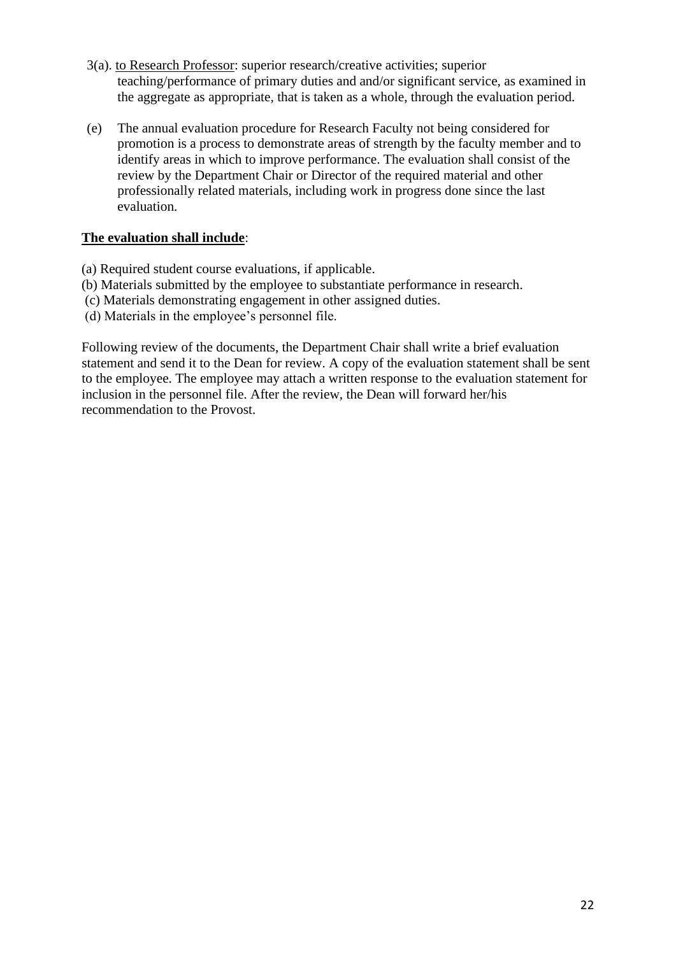- 3(a). to Research Professor: superior research/creative activities; superior teaching/performance of primary duties and and/or significant service, as examined in the aggregate as appropriate, that is taken as a whole, through the evaluation period.
- (e) The annual evaluation procedure for Research Faculty not being considered for promotion is a process to demonstrate areas of strength by the faculty member and to identify areas in which to improve performance. The evaluation shall consist of the review by the Department Chair or Director of the required material and other professionally related materials, including work in progress done since the last evaluation.

### **The evaluation shall include**:

- (a) Required student course evaluations, if applicable.
- (b) Materials submitted by the employee to substantiate performance in research.
- (c) Materials demonstrating engagement in other assigned duties.
- (d) Materials in the employee's personnel file.

Following review of the documents, the Department Chair shall write a brief evaluation statement and send it to the Dean for review. A copy of the evaluation statement shall be sent to the employee. The employee may attach a written response to the evaluation statement for inclusion in the personnel file. After the review, the Dean will forward her/his recommendation to the Provost.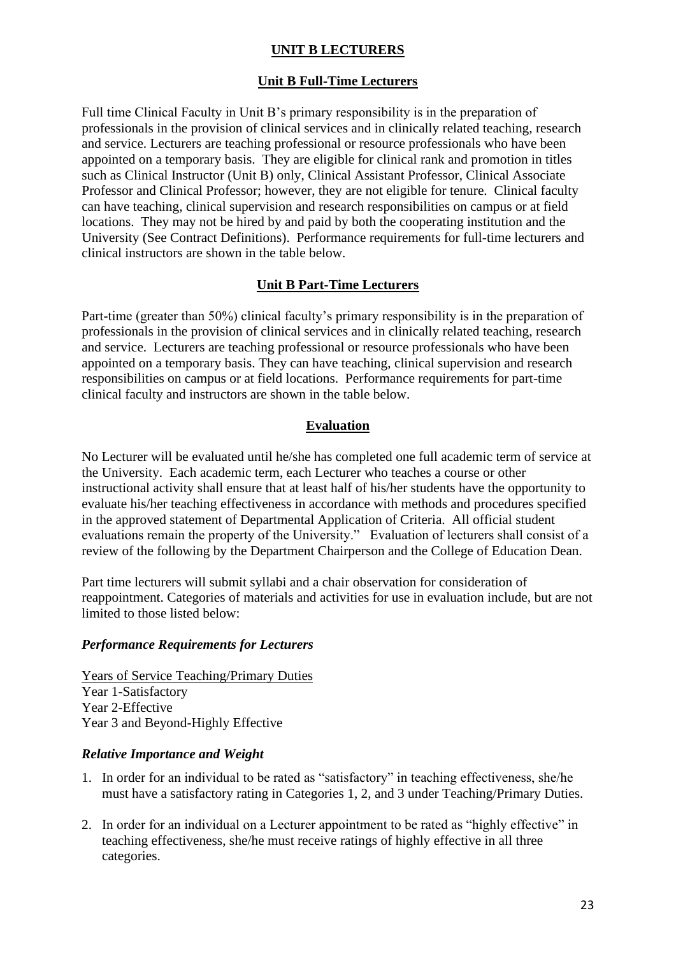## **UNIT B LECTURERS**

#### **Unit B Full-Time Lecturers**

<span id="page-22-1"></span><span id="page-22-0"></span>Full time Clinical Faculty in Unit B's primary responsibility is in the preparation of professionals in the provision of clinical services and in clinically related teaching, research and service. Lecturers are teaching professional or resource professionals who have been appointed on a temporary basis. They are eligible for clinical rank and promotion in titles such as Clinical Instructor (Unit B) only, Clinical Assistant Professor, Clinical Associate Professor and Clinical Professor; however, they are not eligible for tenure. Clinical faculty can have teaching, clinical supervision and research responsibilities on campus or at field locations. They may not be hired by and paid by both the cooperating institution and the University (See Contract Definitions). Performance requirements for full-time lecturers and clinical instructors are shown in the table below.

#### **Unit B Part-Time Lecturers**

Part-time (greater than 50%) clinical faculty's primary responsibility is in the preparation of professionals in the provision of clinical services and in clinically related teaching, research and service. Lecturers are teaching professional or resource professionals who have been appointed on a temporary basis. They can have teaching, clinical supervision and research responsibilities on campus or at field locations. Performance requirements for part-time clinical faculty and instructors are shown in the table below.

### **Evaluation**

<span id="page-22-2"></span>No Lecturer will be evaluated until he/she has completed one full academic term of service at the University. Each academic term, each Lecturer who teaches a course or other instructional activity shall ensure that at least half of his/her students have the opportunity to evaluate his/her teaching effectiveness in accordance with methods and procedures specified in the approved statement of Departmental Application of Criteria. All official student evaluations remain the property of the University." Evaluation of lecturers shall consist of a review of the following by the Department Chairperson and the College of Education Dean.

Part time lecturers will submit syllabi and a chair observation for consideration of reappointment. Categories of materials and activities for use in evaluation include, but are not limited to those listed below:

#### <span id="page-22-3"></span>*Performance Requirements for Lecturers*

Years of Service Teaching/Primary Duties Year 1-Satisfactory Year 2-Effective Year 3 and Beyond-Highly Effective

#### *Relative Importance and Weight*

- 1. In order for an individual to be rated as "satisfactory" in teaching effectiveness, she/he must have a satisfactory rating in Categories 1, 2, and 3 under Teaching/Primary Duties.
- 2. In order for an individual on a Lecturer appointment to be rated as "highly effective" in teaching effectiveness, she/he must receive ratings of highly effective in all three categories.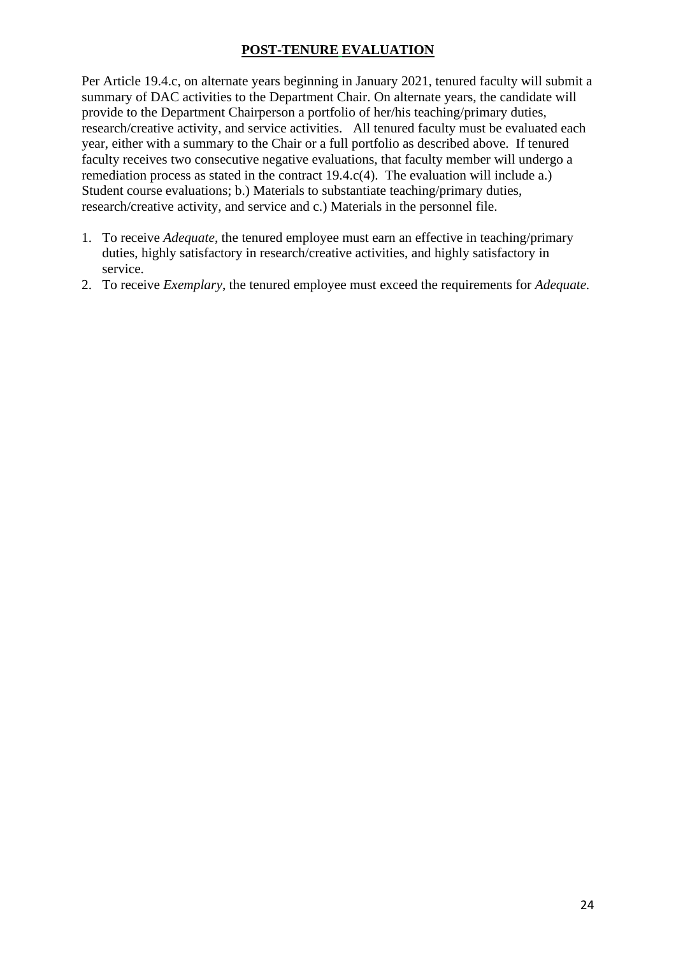## **POST-TENURE EVALUATION**

<span id="page-23-0"></span>Per Article 19.4.c, on alternate years beginning in January 2021, tenured faculty will submit a summary of DAC activities to the Department Chair. On alternate years, the candidate will provide to the Department Chairperson a portfolio of her/his teaching/primary duties, research/creative activity, and service activities. All tenured faculty must be evaluated each year, either with a summary to the Chair or a full portfolio as described above. If tenured faculty receives two consecutive negative evaluations, that faculty member will undergo a remediation process as stated in the contract 19.4.c(4). The evaluation will include a.) Student course evaluations; b.) Materials to substantiate teaching/primary duties, research/creative activity, and service and c.) Materials in the personnel file.

- 1. To receive *Adequate*, the tenured employee must earn an effective in teaching/primary duties, highly satisfactory in research/creative activities, and highly satisfactory in service.
- 2. To receive *Exemplary*, the tenured employee must exceed the requirements for *Adequate.*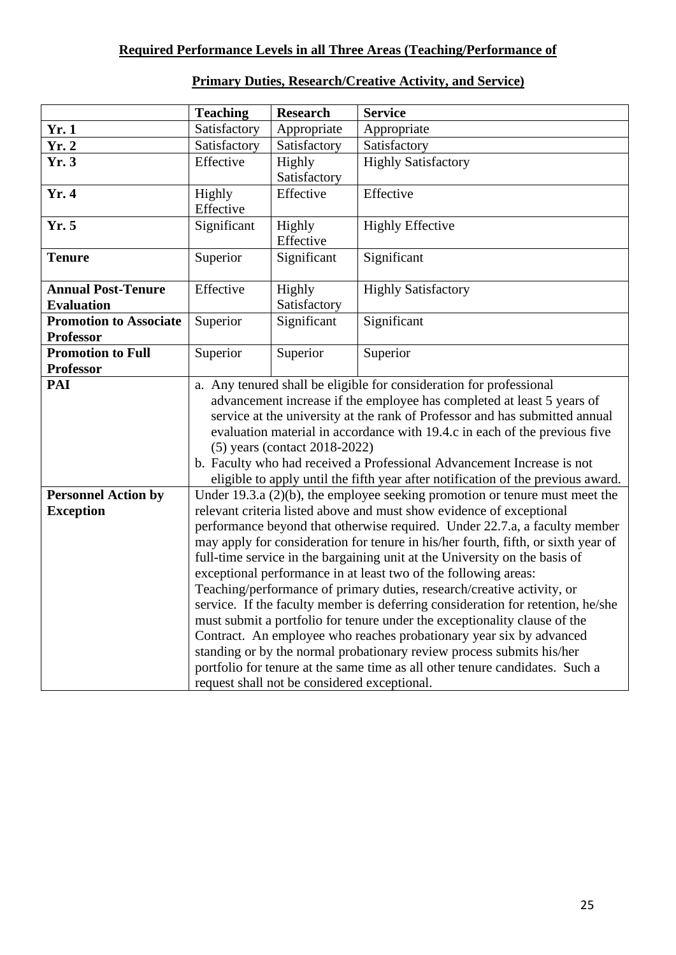## <span id="page-24-0"></span>**Required Performance Levels in all Three Areas (Teaching/Performance of**

<span id="page-24-1"></span>

|                                              | <b>Teaching</b>                                                                  | <b>Research</b>                 | <b>Service</b>                                                                    |
|----------------------------------------------|----------------------------------------------------------------------------------|---------------------------------|-----------------------------------------------------------------------------------|
| Yr.1                                         | Satisfactory                                                                     | Appropriate                     | Appropriate                                                                       |
| $\overline{\text{Yr}}$ . 2                   | Satisfactory                                                                     | Satisfactory                    | Satisfactory                                                                      |
| Yr.3                                         | Effective                                                                        | Highly                          | <b>Highly Satisfactory</b>                                                        |
|                                              |                                                                                  | Satisfactory                    |                                                                                   |
| Yr. 4                                        | Highly                                                                           | Effective                       | Effective                                                                         |
|                                              | Effective                                                                        |                                 |                                                                                   |
| Yr.5                                         | Significant                                                                      | Highly                          | <b>Highly Effective</b>                                                           |
|                                              |                                                                                  | Effective                       |                                                                                   |
| <b>Tenure</b>                                | Superior                                                                         | Significant                     | Significant                                                                       |
|                                              |                                                                                  |                                 |                                                                                   |
| <b>Annual Post-Tenure</b>                    | Effective                                                                        | Highly                          | <b>Highly Satisfactory</b>                                                        |
| <b>Evaluation</b>                            |                                                                                  | Satisfactory                    |                                                                                   |
| <b>Promotion to Associate</b>                | Superior                                                                         | Significant                     | Significant                                                                       |
| <b>Professor</b><br><b>Promotion to Full</b> |                                                                                  |                                 |                                                                                   |
| <b>Professor</b>                             | Superior                                                                         | Superior                        | Superior                                                                          |
| PAI                                          | a. Any tenured shall be eligible for consideration for professional              |                                 |                                                                                   |
|                                              |                                                                                  |                                 | advancement increase if the employee has completed at least 5 years of            |
|                                              |                                                                                  |                                 | service at the university at the rank of Professor and has submitted annual       |
|                                              |                                                                                  |                                 | evaluation material in accordance with 19.4.c in each of the previous five        |
|                                              |                                                                                  | $(5)$ years (contact 2018-2022) |                                                                                   |
|                                              |                                                                                  |                                 | b. Faculty who had received a Professional Advancement Increase is not            |
|                                              | eligible to apply until the fifth year after notification of the previous award. |                                 |                                                                                   |
| <b>Personnel Action by</b>                   | Under 19.3.a $(2)(b)$ , the employee seeking promotion or tenure must meet the   |                                 |                                                                                   |
| <b>Exception</b>                             | relevant criteria listed above and must show evidence of exceptional             |                                 |                                                                                   |
|                                              | performance beyond that otherwise required. Under 22.7.a, a faculty member       |                                 |                                                                                   |
|                                              |                                                                                  |                                 | may apply for consideration for tenure in his/her fourth, fifth, or sixth year of |
|                                              | full-time service in the bargaining unit at the University on the basis of       |                                 |                                                                                   |
|                                              | exceptional performance in at least two of the following areas:                  |                                 |                                                                                   |
|                                              | Teaching/performance of primary duties, research/creative activity, or           |                                 |                                                                                   |
|                                              | service. If the faculty member is deferring consideration for retention, he/she  |                                 |                                                                                   |
|                                              | must submit a portfolio for tenure under the exceptionality clause of the        |                                 |                                                                                   |
|                                              | Contract. An employee who reaches probationary year six by advanced              |                                 |                                                                                   |
|                                              | standing or by the normal probationary review process submits his/her            |                                 |                                                                                   |
|                                              |                                                                                  |                                 | portfolio for tenure at the same time as all other tenure candidates. Such a      |
|                                              | request shall not be considered exceptional.                                     |                                 |                                                                                   |

# **Primary Duties, Research/Creative Activity, and Service)**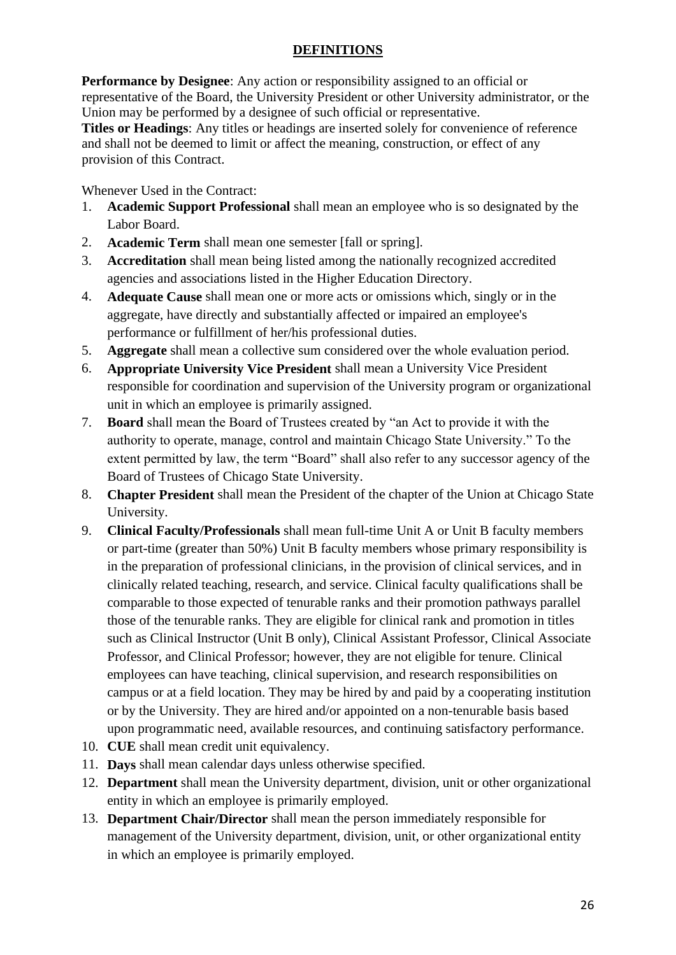## **DEFINITIONS**

<span id="page-25-0"></span>**Performance by Designee**: Any action or responsibility assigned to an official or representative of the Board, the University President or other University administrator, or the Union may be performed by a designee of such official or representative.

**Titles or Headings**: Any titles or headings are inserted solely for convenience of reference and shall not be deemed to limit or affect the meaning, construction, or effect of any provision of this Contract.

Whenever Used in the Contract:

- 1. **Academic Support Professional** shall mean an employee who is so designated by the Labor Board.
- 2. **Academic Term** shall mean one semester [fall or spring].
- 3. **Accreditation** shall mean being listed among the nationally recognized accredited agencies and associations listed in the Higher Education Directory.
- 4. **Adequate Cause** shall mean one or more acts or omissions which, singly or in the aggregate, have directly and substantially affected or impaired an employee's performance or fulfillment of her/his professional duties.
- 5. **Aggregate** shall mean a collective sum considered over the whole evaluation period.
- 6. **Appropriate University Vice President** shall mean a University Vice President responsible for coordination and supervision of the University program or organizational unit in which an employee is primarily assigned.
- 7. **Board** shall mean the Board of Trustees created by "an Act to provide it with the authority to operate, manage, control and maintain Chicago State University." To the extent permitted by law, the term "Board" shall also refer to any successor agency of the Board of Trustees of Chicago State University.
- 8. **Chapter President** shall mean the President of the chapter of the Union at Chicago State University.
- 9. **Clinical Faculty/Professionals** shall mean full-time Unit A or Unit B faculty members or part-time (greater than 50%) Unit B faculty members whose primary responsibility is in the preparation of professional clinicians, in the provision of clinical services, and in clinically related teaching, research, and service. Clinical faculty qualifications shall be comparable to those expected of tenurable ranks and their promotion pathways parallel those of the tenurable ranks. They are eligible for clinical rank and promotion in titles such as Clinical Instructor (Unit B only), Clinical Assistant Professor, Clinical Associate Professor, and Clinical Professor; however, they are not eligible for tenure. Clinical employees can have teaching, clinical supervision, and research responsibilities on campus or at a field location. They may be hired by and paid by a cooperating institution or by the University. They are hired and/or appointed on a non-tenurable basis based upon programmatic need, available resources, and continuing satisfactory performance.
- 10. **CUE** shall mean credit unit equivalency.
- 11. **Days** shall mean calendar days unless otherwise specified.
- 12. **Department** shall mean the University department, division, unit or other organizational entity in which an employee is primarily employed.
- 13. **Department Chair/Director** shall mean the person immediately responsible for management of the University department, division, unit, or other organizational entity in which an employee is primarily employed.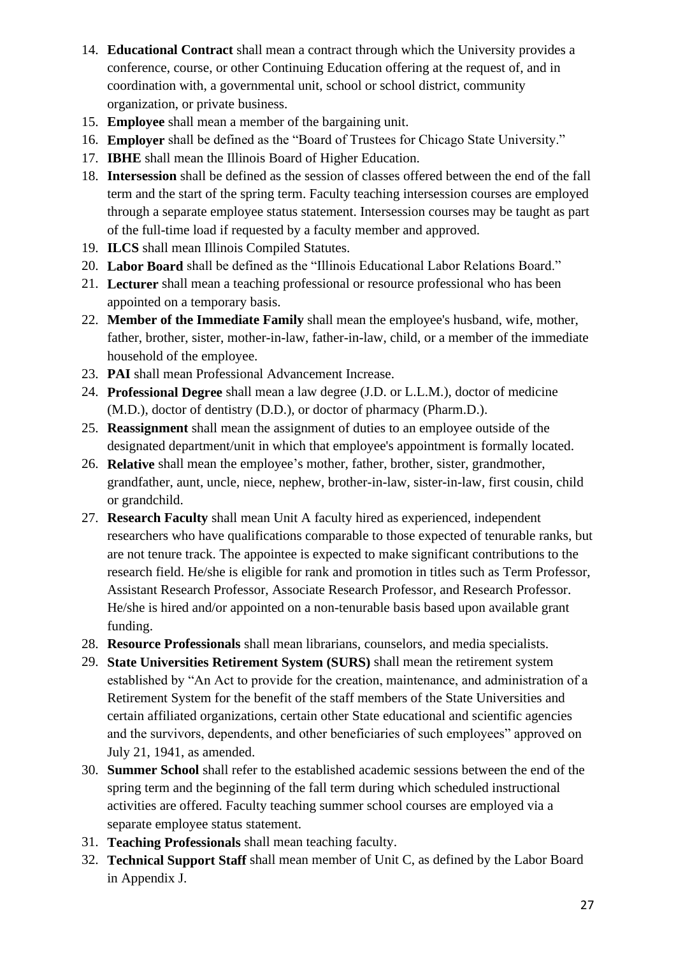- 14. **Educational Contract** shall mean a contract through which the University provides a conference, course, or other Continuing Education offering at the request of, and in coordination with, a governmental unit, school or school district, community organization, or private business.
- 15. **Employee** shall mean a member of the bargaining unit.
- 16. **Employer** shall be defined as the "Board of Trustees for Chicago State University."
- 17. **IBHE** shall mean the Illinois Board of Higher Education.
- 18. **Intersession** shall be defined as the session of classes offered between the end of the fall term and the start of the spring term. Faculty teaching intersession courses are employed through a separate employee status statement. Intersession courses may be taught as part of the full-time load if requested by a faculty member and approved.
- 19. **ILCS** shall mean Illinois Compiled Statutes.
- 20. **Labor Board** shall be defined as the "Illinois Educational Labor Relations Board."
- 21. **Lecturer** shall mean a teaching professional or resource professional who has been appointed on a temporary basis.
- 22. **Member of the Immediate Family** shall mean the employee's husband, wife, mother, father, brother, sister, mother-in-law, father-in-law, child, or a member of the immediate household of the employee.
- 23. **PAI** shall mean Professional Advancement Increase.
- 24. **Professional Degree** shall mean a law degree (J.D. or L.L.M.), doctor of medicine (M.D.), doctor of dentistry (D.D.), or doctor of pharmacy (Pharm.D.).
- 25. **Reassignment** shall mean the assignment of duties to an employee outside of the designated department/unit in which that employee's appointment is formally located.
- 26. **Relative** shall mean the employee's mother, father, brother, sister, grandmother, grandfather, aunt, uncle, niece, nephew, brother-in-law, sister-in-law, first cousin, child or grandchild.
- 27. **Research Faculty** shall mean Unit A faculty hired as experienced, independent researchers who have qualifications comparable to those expected of tenurable ranks, but are not tenure track. The appointee is expected to make significant contributions to the research field. He/she is eligible for rank and promotion in titles such as Term Professor, Assistant Research Professor, Associate Research Professor, and Research Professor. He/she is hired and/or appointed on a non-tenurable basis based upon available grant funding.
- 28. **Resource Professionals** shall mean librarians, counselors, and media specialists.
- 29. **State Universities Retirement System (SURS)** shall mean the retirement system established by "An Act to provide for the creation, maintenance, and administration of a Retirement System for the benefit of the staff members of the State Universities and certain affiliated organizations, certain other State educational and scientific agencies and the survivors, dependents, and other beneficiaries of such employees" approved on July 21, 1941, as amended.
- 30. **Summer School** shall refer to the established academic sessions between the end of the spring term and the beginning of the fall term during which scheduled instructional activities are offered. Faculty teaching summer school courses are employed via a separate employee status statement.
- 31. **Teaching Professionals** shall mean teaching faculty.
- 32. **Technical Support Staff** shall mean member of Unit C, as defined by the Labor Board in Appendix J.